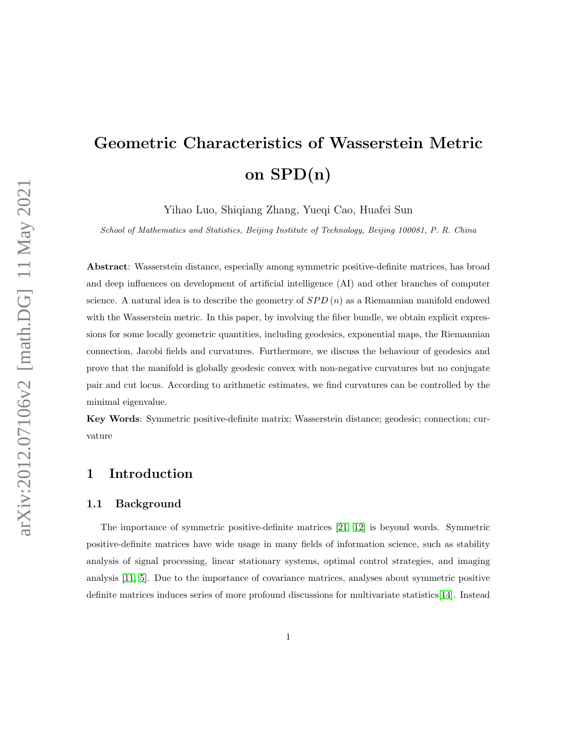# Geometric Characteristics of Wasserstein Metric on SPD(n)

Yihao Luo, Shiqiang Zhang, Yueqi Cao, Huafei Sun

School of Mathematics and Statistics, Beijing Institute of Technology, Beijing 100081, P. R. China

Abstract: Wasserstein distance, especially among symmetric positive-definite matrices, has broad and deep influences on development of artificial intelligence (AI) and other branches of computer science. A natural idea is to describe the geometry of  $SPD(n)$  as a Riemannian manifold endowed with the Wasserstein metric. In this paper, by involving the fiber bundle, we obtain explicit expressions for some locally geometric quantities, including geodesics, exponential maps, the Riemannian connection, Jacobi fields and curvatures. Furthermore, we discuss the behaviour of geodesics and prove that the manifold is globally geodesic convex with non-negative curvatures but no conjugate pair and cut locus. According to arithmetic estimates, we find curvatures can be controlled by the minimal eigenvalue.

Key Words: Symmetric positive-definite matrix; Wasserstein distance; geodesic; connection; curvature

# 1 Introduction

#### 1.1 Background

The importance of symmetric positive-definite matrices [\[21,](#page-29-0) [12\]](#page-28-0) is beyond words. Symmetric positive-definite matrices have wide usage in many fields of information science, such as stability analysis of signal processing, linear stationary systems, optimal control strategies, and imaging analysis [\[11,](#page-28-1) [5\]](#page-28-2). Due to the importance of covariance matrices, analyses about symmetric positive definite matrices induces series of more profound discussions for multivariate statistics[\[14\]](#page-28-3). Instead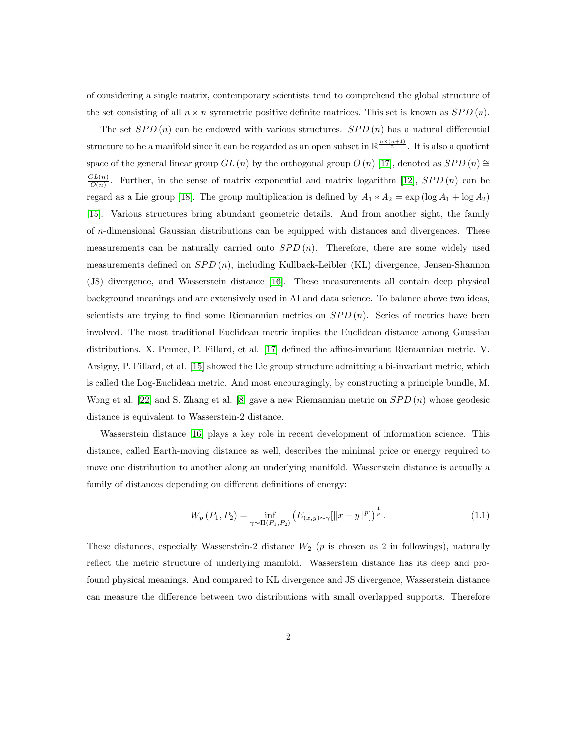of considering a single matrix, contemporary scientists tend to comprehend the global structure of the set consisting of all  $n \times n$  symmetric positive definite matrices. This set is known as  $SPD(n)$ .

The set  $SPD(n)$  can be endowed with various structures.  $SPD(n)$  has a natural differential structure to be a manifold since it can be regarded as an open subset in  $\mathbb{R}^{\frac{n \times (n+1)}{2}}$ . It is also a quotient space of the general linear group  $GL(n)$  by the orthogonal group  $O(n)$  [\[17\]](#page-29-1), denoted as  $SPD(n) \cong$  $GL(n)$  $\frac{L(n)}{O(n)}$ . Further, in the sense of matrix exponential and matrix logarithm [\[12\]](#page-28-0),  $SPD(n)$  can be regard as a Lie group [\[18\]](#page-29-2). The group multiplication is defined by  $A_1 * A_2 = \exp(\log A_1 + \log A_2)$ [\[15\]](#page-28-4). Various structures bring abundant geometric details. And from another sight, the family of n-dimensional Gaussian distributions can be equipped with distances and divergences. These measurements can be naturally carried onto  $SPD(n)$ . Therefore, there are some widely used measurements defined on  $SPD(n)$ , including Kullback-Leibler (KL) divergence, Jensen-Shannon (JS) divergence, and Wasserstein distance [\[16\]](#page-29-3). These measurements all contain deep physical background meanings and are extensively used in AI and data science. To balance above two ideas, scientists are trying to find some Riemannian metrics on  $SPD(n)$ . Series of metrics have been involved. The most traditional Euclidean metric implies the Euclidean distance among Gaussian distributions. X. Pennec, P. Fillard, et al. [\[17\]](#page-29-1) defined the affine-invariant Riemannian metric. V. Arsigny, P. Fillard, et al. [\[15\]](#page-28-4) showed the Lie group structure admitting a bi-invariant metric, which is called the Log-Euclidean metric. And most encouragingly, by constructing a principle bundle, M. Wong et al. [\[22\]](#page-29-4) and S. Zhang et al. [\[8\]](#page-28-5) gave a new Riemannian metric on  $SPD(n)$  whose geodesic distance is equivalent to Wasserstein-2 distance.

Wasserstein distance [\[16\]](#page-29-3) plays a key role in recent development of information science. This distance, called Earth-moving distance as well, describes the minimal price or energy required to move one distribution to another along an underlying manifold. Wasserstein distance is actually a family of distances depending on different definitions of energy:

<span id="page-1-0"></span>
$$
W_p(P_1, P_2) = \inf_{\gamma \sim \Pi(P_1, P_2)} \left( E_{(x, y) \sim \gamma} [\|x - y\|^p] \right)^{\frac{1}{p}}.
$$
 (1.1)

These distances, especially Wasserstein-2 distance  $W_2$  (p is chosen as 2 in followings), naturally reflect the metric structure of underlying manifold. Wasserstein distance has its deep and profound physical meanings. And compared to KL divergence and JS divergence, Wasserstein distance can measure the difference between two distributions with small overlapped supports. Therefore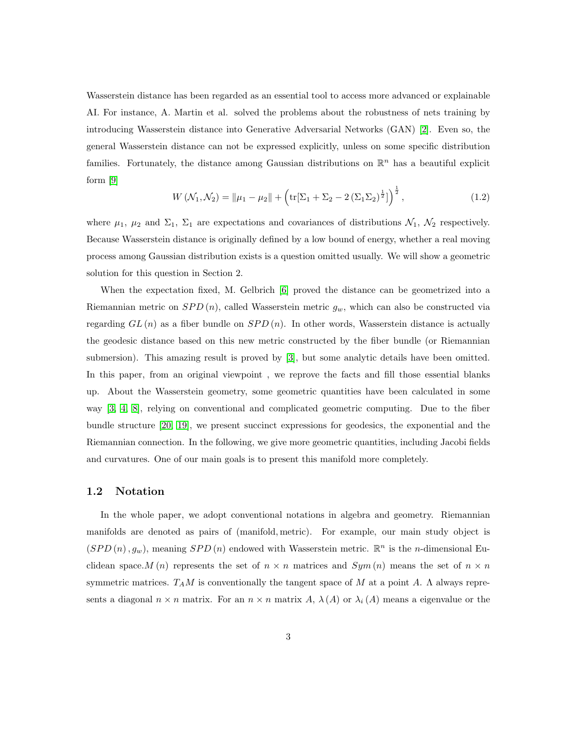Wasserstein distance has been regarded as an essential tool to access more advanced or explainable AI. For instance, A. Martin et al. solved the problems about the robustness of nets training by introducing Wasserstein distance into Generative Adversarial Networks (GAN) [\[2\]](#page-28-6). Even so, the general Wasserstein distance can not be expressed explicitly, unless on some specific distribution families. Fortunately, the distance among Gaussian distributions on  $\mathbb{R}^n$  has a beautiful explicit form [\[9\]](#page-28-7)

$$
W(\mathcal{N}_1, \mathcal{N}_2) = \|\mu_1 - \mu_2\| + \left(\text{tr}[\Sigma_1 + \Sigma_2 - 2(\Sigma_1 \Sigma_2)^{\frac{1}{2}}]\right)^{\frac{1}{2}},\tag{1.2}
$$

where  $\mu_1$ ,  $\mu_2$  and  $\Sigma_1$ ,  $\Sigma_1$  are expectations and covariances of distributions  $\mathcal{N}_1$ ,  $\mathcal{N}_2$  respectively. Because Wasserstein distance is originally defined by a low bound of energy, whether a real moving process among Gaussian distribution exists is a question omitted usually. We will show a geometric solution for this question in Section 2.

When the expectation fixed, M. Gelbrich [\[6\]](#page-28-8) proved the distance can be geometrized into a Riemannian metric on  $SPD(n)$ , called Wasserstein metric  $g_w$ , which can also be constructed via regarding  $GL(n)$  as a fiber bundle on  $SPD(n)$ . In other words, Wasserstein distance is actually the geodesic distance based on this new metric constructed by the fiber bundle (or Riemannian submersion). This amazing result is proved by [\[3\]](#page-28-9), but some analytic details have been omitted. In this paper, from an original viewpoint , we reprove the facts and fill those essential blanks up. About the Wasserstein geometry, some geometric quantities have been calculated in some way [\[3,](#page-28-9) [4,](#page-28-10) [8\]](#page-28-5), relying on conventional and complicated geometric computing. Due to the fiber bundle structure [\[20,](#page-29-5) [19\]](#page-29-6), we present succinct expressions for geodesics, the exponential and the Riemannian connection. In the following, we give more geometric quantities, including Jacobi fields and curvatures. One of our main goals is to present this manifold more completely.

#### 1.2 Notation

In the whole paper, we adopt conventional notations in algebra and geometry. Riemannian manifolds are denoted as pairs of (manifold, metric). For example, our main study object is  $(SPD(n), g_w)$ , meaning  $SPD(n)$  endowed with Wasserstein metric.  $\mathbb{R}^n$  is the *n*-dimensional Euclidean space. M (n) represents the set of  $n \times n$  matrices and  $Sym(n)$  means the set of  $n \times n$ symmetric matrices.  $T_A M$  is conventionally the tangent space of M at a point A.  $\Lambda$  always represents a diagonal  $n \times n$  matrix. For an  $n \times n$  matrix A,  $\lambda(A)$  or  $\lambda_i(A)$  means a eigenvalue or the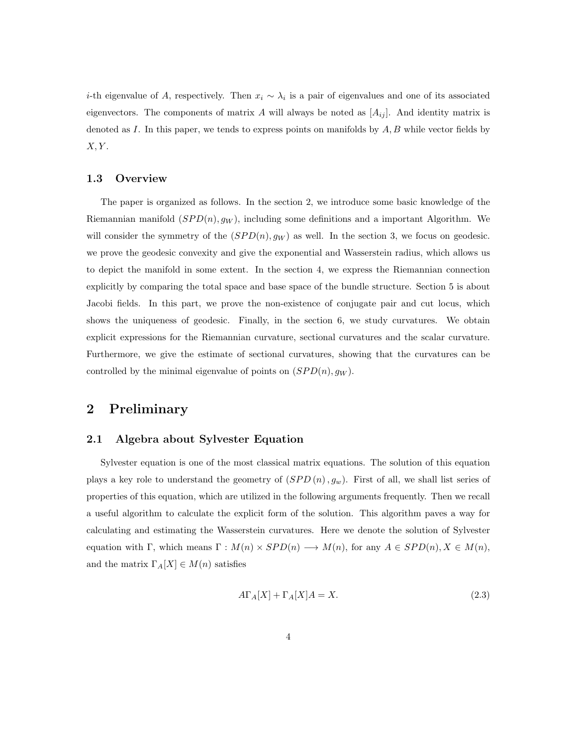i-th eigenvalue of A, respectively. Then  $x_i \sim \lambda_i$  is a pair of eigenvalues and one of its associated eigenvectors. The components of matrix A will always be noted as  $[A_{ij}]$ . And identity matrix is denoted as I. In this paper, we tends to express points on manifolds by  $A, B$  while vector fields by  $X, Y$ .

#### 1.3 Overview

The paper is organized as follows. In the section 2, we introduce some basic knowledge of the Riemannian manifold  $(SPD(n), g_W)$ , including some definitions and a important Algorithm. We will consider the symmetry of the  $(SPD(n), g_W)$  as well. In the section 3, we focus on geodesic. we prove the geodesic convexity and give the exponential and Wasserstein radius, which allows us to depict the manifold in some extent. In the section 4, we express the Riemannian connection explicitly by comparing the total space and base space of the bundle structure. Section 5 is about Jacobi fields. In this part, we prove the non-existence of conjugate pair and cut locus, which shows the uniqueness of geodesic. Finally, in the section 6, we study curvatures. We obtain explicit expressions for the Riemannian curvature, sectional curvatures and the scalar curvature. Furthermore, we give the estimate of sectional curvatures, showing that the curvatures can be controlled by the minimal eigenvalue of points on  $(SPD(n), g_W)$ .

# 2 Preliminary

#### 2.1 Algebra about Sylvester Equation

Sylvester equation is one of the most classical matrix equations. The solution of this equation plays a key role to understand the geometry of  $(SPD(n), g_w)$ . First of all, we shall list series of properties of this equation, which are utilized in the following arguments frequently. Then we recall a useful algorithm to calculate the explicit form of the solution. This algorithm paves a way for calculating and estimating the Wasserstein curvatures. Here we denote the solution of Sylvester equation with Γ, which means  $\Gamma : M(n) \times SPD(n) \longrightarrow M(n)$ , for any  $A \in SPD(n), X \in M(n)$ , and the matrix  $\Gamma_A[X] \in M(n)$  satisfies

<span id="page-3-0"></span>
$$
A\Gamma_A[X] + \Gamma_A[X]A = X.\tag{2.3}
$$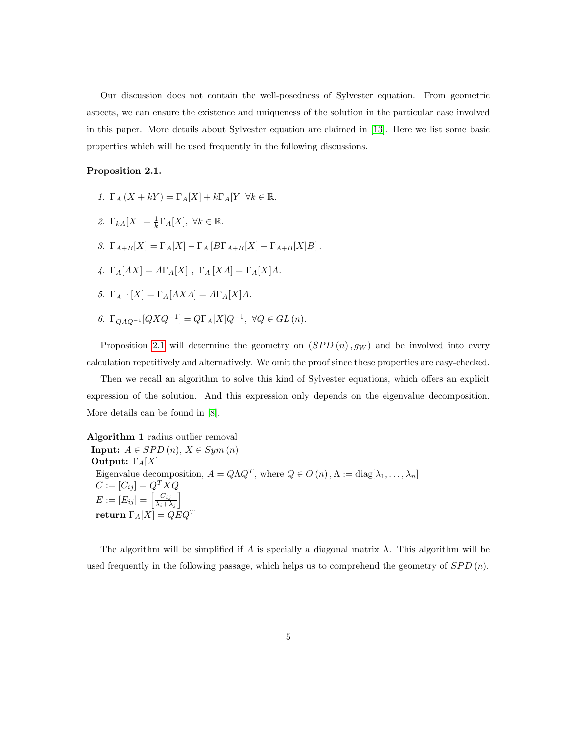Our discussion does not contain the well-posedness of Sylvester equation. From geometric aspects, we can ensure the existence and uniqueness of the solution in the particular case involved in this paper. More details about Sylvester equation are claimed in [\[13\]](#page-28-11). Here we list some basic properties which will be used frequently in the following discussions.

#### <span id="page-4-0"></span>Proposition 2.1.

1.  $\Gamma_A (X + kY) = \Gamma_A [X] + k \Gamma_A [Y \ \forall k \in \mathbb{R}$ . 2.  $\Gamma_{kA}[X] = \frac{1}{k} \Gamma_A[X], \ \forall k \in \mathbb{R}.$ 3.  $\Gamma_{A+B}[X] = \Gamma_A[X] - \Gamma_A[B\Gamma_{A+B}[X] + \Gamma_{A+B}[X]B].$ 4.  $\Gamma_A[AX] = A\Gamma_A[X]$ ,  $\Gamma_A[XA] = \Gamma_A[X]A$ . 5.  $\Gamma_{A^{-1}}[X] = \Gamma_A[AXA] = A\Gamma_A[X]A$ . 6.  $\Gamma_{QAQ^{-1}}[QXQ^{-1}] = Q\Gamma_A[X]Q^{-1}, \ \forall Q \in GL(n).$ 

Proposition [2.1](#page-4-0) will determine the geometry on  $(SPD(n), g_W)$  and be involved into every calculation repetitively and alternatively. We omit the proof since these properties are easy-checked.

Then we recall an algorithm to solve this kind of Sylvester equations, which offers an explicit expression of the solution. And this expression only depends on the eigenvalue decomposition. More details can be found in [\[8\]](#page-28-5).

Algorithm 1 radius outlier removal Input:  $A \in SPD(n), X \in Sym(n)$ **Output:**  $\Gamma_A[X]$ Eigenvalue decomposition,  $A = Q\Lambda Q^T$ , where  $Q \in O(n)$ ,  $\Lambda := \text{diag}[\lambda_1, \ldots, \lambda_n]$  $C := [C_{ij}] = Q^T X Q$  $E := [E_{ij}] = \left[\frac{C_{ij}}{\lambda_i + 1}\right]$  $\frac{C_{ij}}{\lambda_i + \lambda_j}$  $\textbf{return} \hspace{0.5mm} \Gamma_{A}[X] = QEQ^T$ 

The algorithm will be simplified if A is specially a diagonal matrix  $\Lambda$ . This algorithm will be used frequently in the following passage, which helps us to comprehend the geometry of  $SPD(n)$ .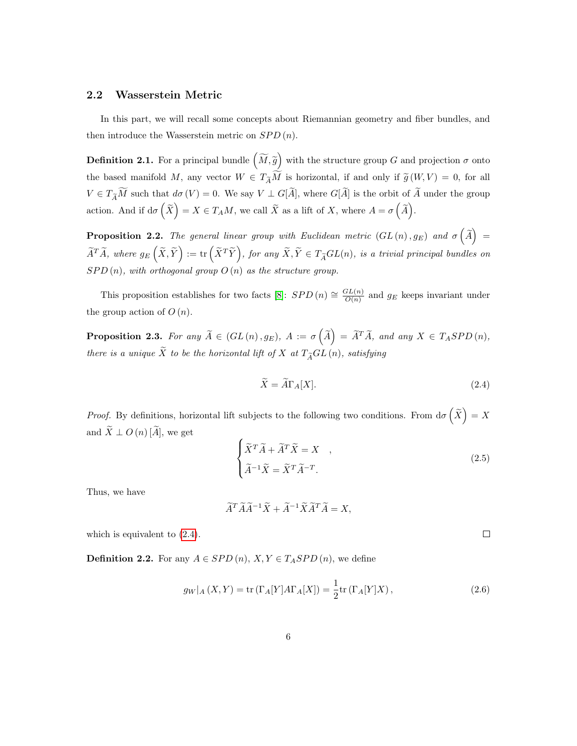#### 2.2 Wasserstein Metric

In this part, we will recall some concepts about Riemannian geometry and fiber bundles, and then introduce the Wasserstein metric on  $SPD(n)$ .

**Definition 2.1.** For a principal bundle  $(\widetilde{M}, \widetilde{g})$  with the structure group G and projection  $\sigma$  onto the based manifold M, any vector  $W \in T_{\widetilde{A}}\widetilde{M}$  is horizontal, if and only if  $\widetilde{g}(W, V) = 0$ , for all  $V \in T_{\widetilde{A}}\widetilde{M}$  such that  $d\sigma(V) = 0$ . We say  $V \perp G[\widetilde{A}]$ , where  $G[\widetilde{A}]$  is the orbit of  $\widetilde{A}$  under the group action. And if  $d\sigma\left(\widetilde{X}\right) = X \in T_A M$ , we call  $\widetilde{X}$  as a lift of X, where  $A = \sigma\left(\widetilde{A}\right)$ .

**Proposition 2.2.** The general linear group with Euclidean metric  $(GL(n), g_E)$  and  $\sigma\left(\widetilde{A}\right)$  =  $\widetilde{A}^T\widetilde{A}$ , where  $g_E\left(\widetilde{X},\widetilde{Y}\right):=\text{tr}\left(\widetilde{X}^T\widetilde{Y}\right)$ , for any  $\widetilde{X},\widetilde{Y}\in T_{\widetilde{A}}GL(n)$ , is a trivial principal bundles on  $SPD(n)$ , with orthogonal group  $O(n)$  as the structure group.

This proposition establishes for two facts [\[8\]](#page-28-5):  $SPD(n) \cong \frac{GL(n)}{O(n)}$  $\frac{\partial^2 L(n)}{\partial (n)}$  and  $g_E$  keeps invariant under the group action of  $O(n)$ .

**Proposition 2.3.** For any  $\widetilde{A} \in (GL(n), g_E)$ ,  $A := \sigma\left(\widetilde{A}\right) = \widetilde{A}^T \widetilde{A}$ , and any  $X \in T_ASPD(n)$ , there is a unique  $\widetilde{X}$  to be the horizontal lift of X at  $T_{\widetilde{A}}GL\left(n\right)$ , satisfying

<span id="page-5-0"></span>
$$
\widetilde{X} = \widetilde{A}\Gamma_A[X].\tag{2.4}
$$

*Proof.* By definitions, horizontal lift subjects to the following two conditions. From  $d\sigma\left(\tilde{X}\right) = X$ and  $\widetilde{X} \perp O(n) [\widetilde{A}],$  we get

<span id="page-5-1"></span>
$$
\begin{cases}\n\widetilde{X}^T \widetilde{A} + \widetilde{A}^T \widetilde{X} = X, \\
\widetilde{A}^{-1} \widetilde{X} = \widetilde{X}^T \widetilde{A}^{-T}.\n\end{cases}
$$
\n(2.5)

 $\Box$ 

Thus, we have

$$
\widetilde{A}^T \widetilde{A} \widetilde{A}^{-1} \widetilde{X} + \widetilde{A}^{-1} \widetilde{X} \widetilde{A}^T \widetilde{A} = X,
$$

which is equivalent to [\(2.4\)](#page-5-0).

**Definition 2.2.** For any  $A \in SPD(n)$ ,  $X, Y \in T_ASPD(n)$ , we define

$$
g_W|_A(X,Y) = \text{tr}(\Gamma_A[Y]A\Gamma_A[X]) = \frac{1}{2}\text{tr}(\Gamma_A[Y]X),\tag{2.6}
$$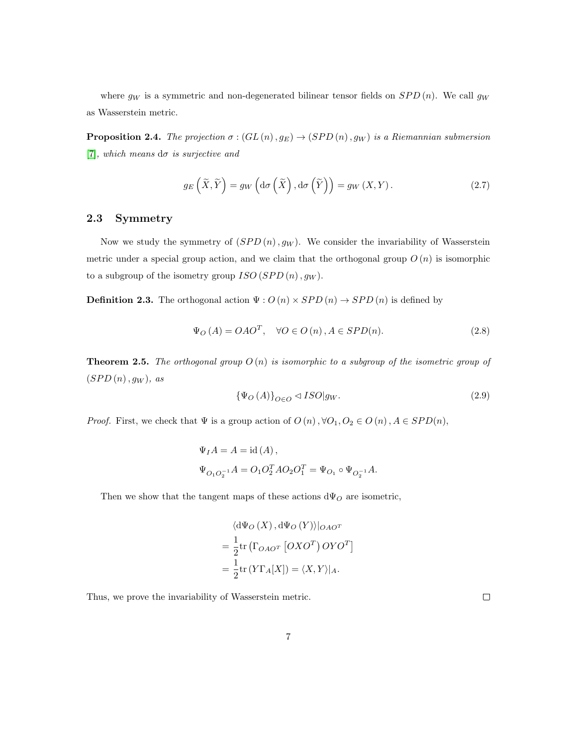where  $g_W$  is a symmetric and non-degenerated bilinear tensor fields on  $SPD(n)$ . We call  $g_W$ as Wasserstein metric.

**Proposition 2.4.** The projection  $\sigma$  :  $(GL(n), g_E) \rightarrow (SPD(n), g_W)$  is a Riemannian submersion [\[7\]](#page-28-12), which means  $d\sigma$  is surjective and

$$
g_E\left(\widetilde{X}, \widetilde{Y}\right) = g_W\left(\mathrm{d}\sigma\left(\widetilde{X}\right), \mathrm{d}\sigma\left(\widetilde{Y}\right)\right) = g_W\left(X, Y\right). \tag{2.7}
$$

#### 2.3 Symmetry

Now we study the symmetry of  $(SPD(n), g_W)$ . We consider the invariability of Wasserstein metric under a special group action, and we claim that the orthogonal group  $O(n)$  is isomorphic to a subgroup of the isometry group  $ISO(SPD(n), q_W)$ .

**Definition 2.3.** The orthogonal action  $\Psi: O(n) \times SPD(n) \rightarrow SPD(n)$  is defined by

$$
\Psi_O(A) = OAO^T, \quad \forall O \in O(n), A \in SPD(n). \tag{2.8}
$$

<span id="page-6-1"></span>**Theorem 2.5.** The orthogonal group  $O(n)$  is isomorphic to a subgroup of the isometric group of  $(SPD(n), g_W), as$ 

<span id="page-6-0"></span>
$$
\{\Psi_{O}\left(A\right)\}_{O\in O} \lhd ISO|g_W. \tag{2.9}
$$

*Proof.* First, we check that  $\Psi$  is a group action of  $O(n)$ ,  $\forall O_1, O_2 \in O(n)$ ,  $A \in SPD(n)$ ,

$$
\begin{array}{l} \Psi_I A = A = \mathrm{id}\,(A)\,, \\[2mm] \Psi_{O_1O_2^{-1}}A = O_1O_2^TAO_2O_1^T = \Psi_{O_1} \circ \Psi_{O_2^{-1}}A. \end{array}
$$

Then we show that the tangent maps of these actions  $d\Psi_O$  are isometric,

$$
\langle d\Psi_O(X), d\Psi_O(Y) \rangle |_{OAO^T}
$$
  
=  $\frac{1}{2}$ tr  $(\Gamma_{OAO^T} [OXO^T) OYO^T]$   
=  $\frac{1}{2}$ tr  $(Y\Gamma_A[X]) = \langle X, Y \rangle |_{A}.$ 

Thus, we prove the invariability of Wasserstein metric.

 $\Box$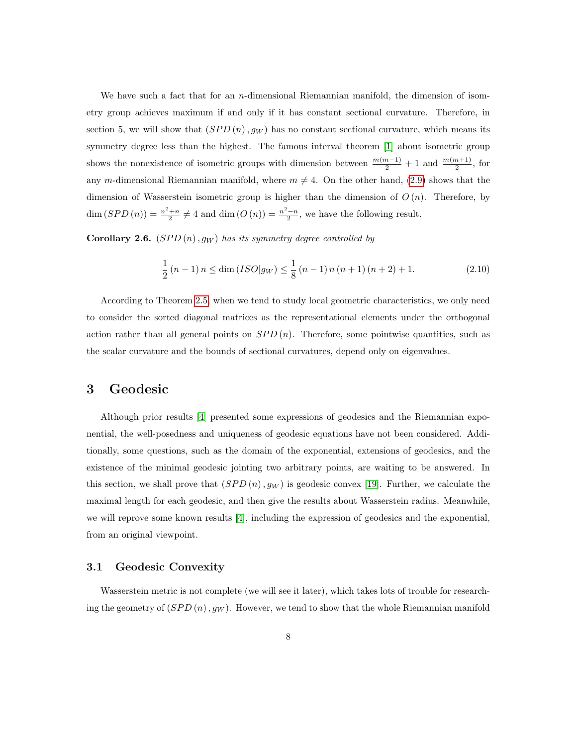We have such a fact that for an *n*-dimensional Riemannian manifold, the dimension of isometry group achieves maximum if and only if it has constant sectional curvature. Therefore, in section 5, we will show that  $(SPD(n), g_W)$  has no constant sectional curvature, which means its symmetry degree less than the highest. The famous interval theorem [\[1\]](#page-27-0) about isometric group shows the nonexistence of isometric groups with dimension between  $\frac{m(m-1)}{2} + 1$  and  $\frac{m(m+1)}{2}$ , for any m-dimensional Riemannian manifold, where  $m \neq 4$ . On the other hand, [\(2.9\)](#page-6-0) shows that the dimension of Wasserstein isometric group is higher than the dimension of  $O(n)$ . Therefore, by  $\dim (SPD(n)) = \frac{n^2+n}{2} \neq 4$  and  $\dim (O(n)) = \frac{n^2-n}{2}$ , we have the following result.

**Corollary 2.6.**  $(SPD(n), g_W)$  has its symmetry degree controlled by

$$
\frac{1}{2}(n-1)n \le \dim (ISO|g_W) \le \frac{1}{8}(n-1)n(n+1)(n+2) + 1.
$$
 (2.10)

According to Theorem [2.5,](#page-6-1) when we tend to study local geometric characteristics, we only need to consider the sorted diagonal matrices as the representational elements under the orthogonal action rather than all general points on  $SPD(n)$ . Therefore, some pointwise quantities, such as the scalar curvature and the bounds of sectional curvatures, depend only on eigenvalues.

## 3 Geodesic

Although prior results [\[4\]](#page-28-10) presented some expressions of geodesics and the Riemannian exponential, the well-posedness and uniqueness of geodesic equations have not been considered. Additionally, some questions, such as the domain of the exponential, extensions of geodesics, and the existence of the minimal geodesic jointing two arbitrary points, are waiting to be answered. In this section, we shall prove that  $(SPD(n), g_W)$  is geodesic convex [\[19\]](#page-29-6). Further, we calculate the maximal length for each geodesic, and then give the results about Wasserstein radius. Meanwhile, we will reprove some known results [\[4\]](#page-28-10), including the expression of geodesics and the exponential, from an original viewpoint.

#### 3.1 Geodesic Convexity

Wasserstein metric is not complete (we will see it later), which takes lots of trouble for researching the geometry of  $(SPD(n), g_W)$ . However, we tend to show that the whole Riemannian manifold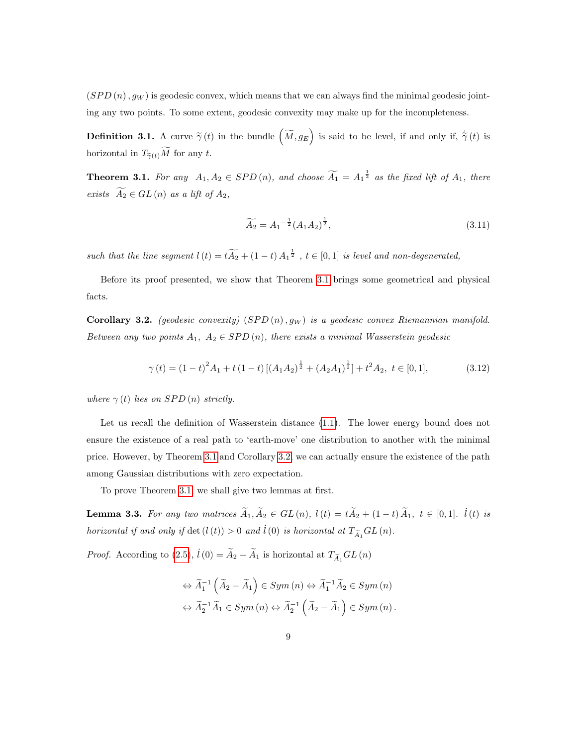$(SPD(n), g_W)$  is geodesic convex, which means that we can always find the minimal geodesic jointing any two points. To some extent, geodesic convexity may make up for the incompleteness.

**Definition 3.1.** A curve  $\tilde{\gamma}(t)$  in the bundle  $(\widetilde{M}, g_E)$  is said to be level, if and only if,  $\dot{\tilde{\gamma}}(t)$  is horizontal in  $T_{\widetilde{\gamma}(t)}\widetilde{M}$  for any  $t.$ 

<span id="page-8-0"></span>**Theorem 3.1.** For any  $A_1, A_2 \in SPD(n)$ , and choose  $\widetilde{A_1} = A_1^{\frac{1}{2}}$  as the fixed lift of  $A_1$ , there exists  $\widetilde{A_2} \in GL(n)$  as a lift of  $A_2$ ,

$$
\widetilde{A_2} = A_1^{-\frac{1}{2}} (A_1 A_2)^{\frac{1}{2}},\tag{3.11}
$$

such that the line segment  $l(t) = tA_2 + (1-t)A_1^{\frac{1}{2}}$ ,  $t \in [0,1]$  is level and non-degenerated,

Before its proof presented, we show that Theorem [3.1](#page-8-0) brings some geometrical and physical facts.

<span id="page-8-1"></span>Corollary 3.2. (geodesic convexity)  $(SPD(n), g_W)$  is a geodesic convex Riemannian manifold. Between any two points  $A_1, A_2 \in SPD(n)$ , there exists a minimal Wasserstein geodesic

$$
\gamma(t) = (1-t)^2 A_1 + t (1-t) \left[ (A_1 A_2)^{\frac{1}{2}} + (A_2 A_1)^{\frac{1}{2}} \right] + t^2 A_2, \ t \in [0,1], \tag{3.12}
$$

where  $\gamma(t)$  lies on SPD (n) strictly.

Let us recall the definition of Wasserstein distance [\(1.1\)](#page-1-0). The lower energy bound does not ensure the existence of a real path to 'earth-move' one distribution to another with the minimal price. However, by Theorem [3.1](#page-8-0) and Corollary [3.2,](#page-8-1) we can actually ensure the existence of the path among Gaussian distributions with zero expectation.

To prove Theorem [3.1,](#page-8-0) we shall give two lemmas at first.

<span id="page-8-2"></span>**Lemma 3.3.** For any two matrices  $\widetilde{A}_1, \widetilde{A}_2 \in GL(n)$ ,  $l(t) = t\widetilde{A}_2 + (1-t)\widetilde{A}_1$ ,  $t \in [0,1]$ .  $\widetilde{l}(t)$  is horizontal if and only if  $\det(l(t)) > 0$  and  $\dot{l}(0)$  is horizontal at  $T_{\widetilde{A}_1}GL(n)$ .

*Proof.* According to [\(2.5\)](#page-5-1),  $\dot{l}(0) = \tilde{A}_2 - \tilde{A}_1$  is horizontal at  $T_{\tilde{A}_1} GL(n)$ 

$$
\Leftrightarrow \widetilde{A}_1^{-1} \left( \widetilde{A}_2 - \widetilde{A}_1 \right) \in Sym \left( n \right) \Leftrightarrow \widetilde{A}_1^{-1} \widetilde{A}_2 \in Sym \left( n \right)
$$
  

$$
\Leftrightarrow \widetilde{A}_2^{-1} \widetilde{A}_1 \in Sym \left( n \right) \Leftrightarrow \widetilde{A}_2^{-1} \left( \widetilde{A}_2 - \widetilde{A}_1 \right) \in Sym \left( n \right).
$$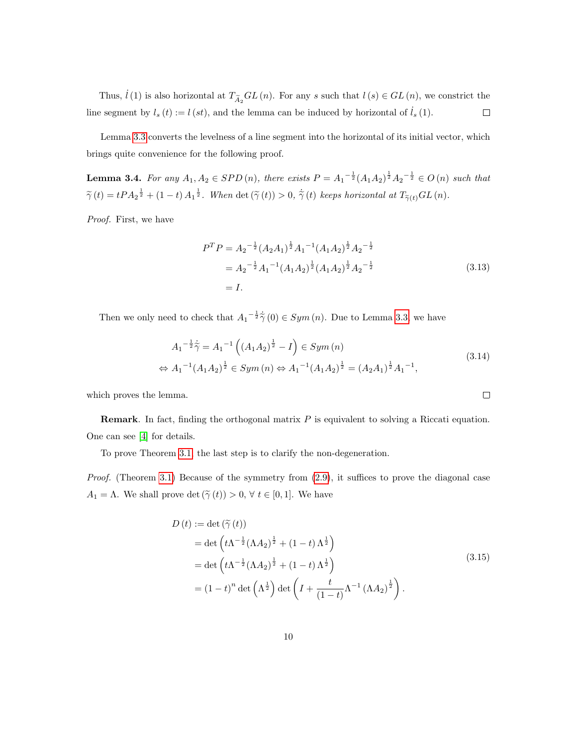Thus,  $\hat{l}(1)$  is also horizontal at  $T_{\widetilde{A}_2}GL(n)$ . For any s such that  $l(s) \in GL(n)$ , we constrict the line segment by  $l_s(t) := l(st)$ , and the lemma can be induced by horizontal of  $l_s(1)$ .  $\Box$ 

Lemma [3.3](#page-8-2) converts the levelness of a line segment into the horizontal of its initial vector, which brings quite convenience for the following proof.

<span id="page-9-0"></span>**Lemma 3.4.** For any  $A_1, A_2 \in SPD(n)$ , there exists  $P = A_1^{-\frac{1}{2}} (A_1 A_2)^{\frac{1}{2}} A_2^{-\frac{1}{2}} \in O(n)$  such that  $\tilde{\gamma}(t) = tPA_2^{\frac{1}{2}} + (1-t) A_1^{\frac{1}{2}}$ . When det  $(\tilde{\gamma}(t)) > 0$ ,  $\dot{\tilde{\gamma}}(t)$  keeps horizontal at  $T_{\tilde{\gamma}(t)}GL(n)$ .

Proof. First, we have

$$
PT P = A2- $\frac{1}{2}$  (A<sub>2</sub>A<sub>1</sub>) <sup>$\frac{1}{2}$</sup> A<sub>1</sub><sup>-1</sup> (A<sub>1</sub>A<sub>2</sub>) <sup>$\frac{1}{2}$</sup> A<sub>2</sub><sup>- $\frac{1}{2}$</sup>   
= A<sub>2</sub><sup>- $\frac{1}{2}$</sup> A<sub>1</sub><sup>-1</sup> (A<sub>1</sub>A<sub>2</sub>) <sup>$\frac{1}{2}$</sup> (A<sub>1</sub>A<sub>2</sub>) <sup>$\frac{1}{2}$</sup> A<sub>2</sub><sup>- $\frac{1}{2}$</sup>   
= I. (3.13)
$$

 $\Box$ 

Then we only need to check that  $A_1^{-\frac{1}{2}} \dot{\tilde{\gamma}}(0) \in Sym(n)$ . Due to Lemma [3.3,](#page-8-2) we have

$$
A_1^{-\frac{1}{2}}\dot{\tilde{\gamma}} = A_1^{-1}\left((A_1A_2)^{\frac{1}{2}} - I\right) \in Sym(n)
$$
  
\n
$$
\Leftrightarrow A_1^{-1}(A_1A_2)^{\frac{1}{2}} \in Sym(n) \Leftrightarrow A_1^{-1}(A_1A_2)^{\frac{1}{2}} = (A_2A_1)^{\frac{1}{2}}A_1^{-1},
$$
\n(3.14)

which proves the lemma.

**Remark.** In fact, finding the orthogonal matrix  $P$  is equivalent to solving a Riccati equation. One can see [\[4\]](#page-28-10) for details.

To prove Theorem [3.1,](#page-8-0) the last step is to clarify the non-degeneration.

*Proof.* (Theorem [3.1\)](#page-8-0) Because of the symmetry from  $(2.9)$ , it suffices to prove the diagonal case  $A_1 = \Lambda$ . We shall prove det  $(\tilde{\gamma}(t)) > 0$ ,  $\forall t \in [0, 1]$ . We have

$$
D(t) := \det (\tilde{\gamma}(t))
$$
  
= 
$$
\det \left( t\Lambda^{-\frac{1}{2}} (\Lambda A_2)^{\frac{1}{2}} + (1 - t) \Lambda^{\frac{1}{2}} \right)
$$
  
= 
$$
\det \left( t\Lambda^{-\frac{1}{2}} (\Lambda A_2)^{\frac{1}{2}} + (1 - t) \Lambda^{\frac{1}{2}} \right)
$$
  
= 
$$
(1 - t)^n \det (\Lambda^{\frac{1}{2}}) \det \left( I + \frac{t}{(1 - t)} \Lambda^{-1} (\Lambda A_2)^{\frac{1}{2}} \right).
$$
 (3.15)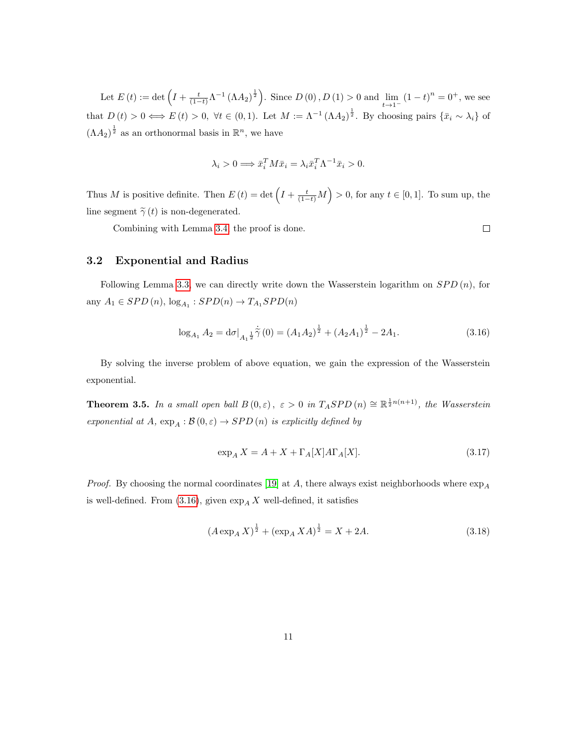Let  $E(t) := \det \left( I + \frac{t}{(1-t)} \Lambda^{-1} (\Lambda A_2)^{\frac{1}{2}} \right)$ . Since  $D(0), D(1) > 0$  and  $\lim_{t \to 1^-} (1-t)^n = 0^+$ , we see that  $D(t) > 0 \iff E(t) > 0$ ,  $\forall t \in (0,1)$ . Let  $M := \Lambda^{-1} (\Lambda A_2)^{\frac{1}{2}}$ . By choosing pairs  $\{\bar{x}_i \sim \lambda_i\}$  of  $(\Lambda A_2)^{\frac{1}{2}}$  as an orthonormal basis in  $\mathbb{R}^n$ , we have

$$
\lambda_i > 0 \Longrightarrow \bar{x}_i^T M \bar{x}_i = \lambda_i \bar{x}_i^T \Lambda^{-1} \bar{x}_i > 0.
$$

Thus M is positive definite. Then  $E(t) = \det \left( I + \frac{t}{(1-t)} M \right) > 0$ , for any  $t \in [0,1]$ . To sum up, the line segment  $\tilde{\gamma}(t)$  is non-degenerated.

Combining with Lemma [3.4,](#page-9-0) the proof is done.

 $\Box$ 

#### 3.2 Exponential and Radius

Following Lemma [3.3,](#page-8-2) we can directly write down the Wasserstein logarithm on  $SPD(n)$ , for any  $A_1 \in SPD(n)$ ,  $log_{A_1} : SPD(n) \rightarrow T_{A_1} SPD(n)$ 

<span id="page-10-0"></span>
$$
\log_{A_1} A_2 = d\sigma|_{A_1^{\frac{1}{2}}} \dot{\tilde{\gamma}}(0) = (A_1 A_2)^{\frac{1}{2}} + (A_2 A_1)^{\frac{1}{2}} - 2A_1. \tag{3.16}
$$

By solving the inverse problem of above equation, we gain the expression of the Wasserstein exponential.

**Theorem 3.5.** In a small open ball  $B(0,\varepsilon)$ ,  $\varepsilon > 0$  in  $T_ASPD(n) \cong \mathbb{R}^{\frac{1}{2}n(n+1)}$ , the Wasserstein exponential at A,  $\exp_A : \mathcal{B}(0, \varepsilon) \to SPD(n)$  is explicitly defined by

<span id="page-10-1"></span>
$$
\exp_A X = A + X + \Gamma_A[X]A\Gamma_A[X].\tag{3.17}
$$

*Proof.* By choosing the normal coordinates [\[19\]](#page-29-6) at A, there always exist neighborhoods where  $\exp_A$ is well-defined. From [\(3.16\)](#page-10-0), given  $\exp_{A} X$  well-defined, it satisfies

$$
(A \exp_A X)^{\frac{1}{2}} + (\exp_A XA)^{\frac{1}{2}} = X + 2A. \tag{3.18}
$$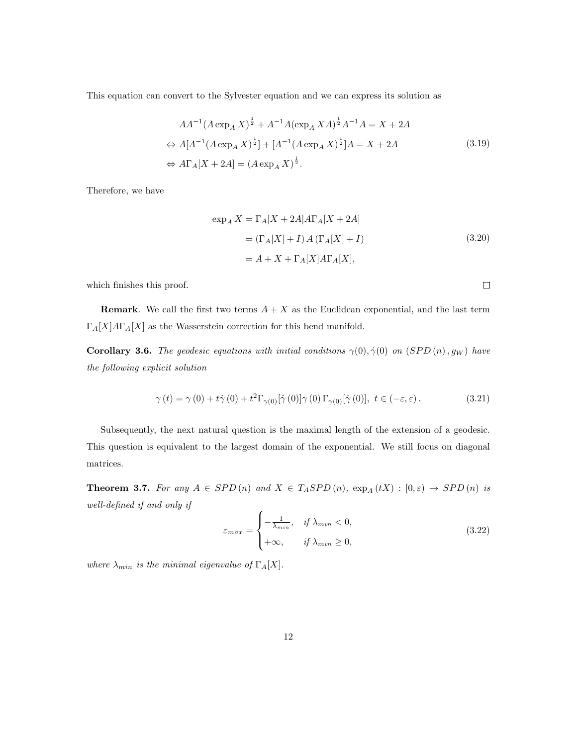This equation can convert to the Sylvester equation and we can express its solution as

$$
AA^{-1}(A \exp_A X)^{\frac{1}{2}} + A^{-1}A(\exp_A XA)^{\frac{1}{2}}A^{-1}A = X + 2A
$$
  
\n
$$
\Leftrightarrow A[A^{-1}(A \exp_A X)^{\frac{1}{2}}] + [A^{-1}(A \exp_A X)^{\frac{1}{2}}]A = X + 2A
$$
  
\n
$$
\Leftrightarrow A\Gamma_A[X + 2A] = (A \exp_A X)^{\frac{1}{2}}.
$$
\n(3.19)

<span id="page-11-0"></span>Therefore, we have

$$
\exp_A X = \Gamma_A [X + 2A] A \Gamma_A [X + 2A]
$$
  
= (\Gamma\_A [X] + I) A (\Gamma\_A [X] + I) (3.20)  
= A + X + \Gamma\_A [X] A \Gamma\_A [X],

which finishes this proof.

**Remark.** We call the first two terms  $A + X$  as the Euclidean exponential, and the last term  $\Gamma_A[X]A\Gamma_A[X]$  as the Wasserstein correction for this bend manifold.

**Corollary 3.6.** The geodesic equations with initial conditions  $\gamma(0), \dot{\gamma}(0)$  on  $(SPD(n), g_W)$  have the following explicit solution

$$
\gamma(t) = \gamma(0) + t\dot{\gamma}(0) + t^2 \Gamma_{\gamma(0)}[\dot{\gamma}(0)]\gamma(0) \Gamma_{\gamma(0)}[\dot{\gamma}(0)], \ t \in (-\varepsilon, \varepsilon).
$$
 (3.21)

Subsequently, the next natural question is the maximal length of the extension of a geodesic. This question is equivalent to the largest domain of the exponential. We still focus on diagonal matrices.

<span id="page-11-1"></span>**Theorem 3.7.** For any  $A \in SPD(n)$  and  $X \in T_ASPD(n)$ ,  $\exp_A(tX) : [0, \varepsilon) \rightarrow SPD(n)$  is well-defined if and only if

<span id="page-11-2"></span>
$$
\varepsilon_{max} = \begin{cases}\n-\frac{1}{\lambda_{min}}, & \text{if } \lambda_{min} < 0, \\
+\infty, & \text{if } \lambda_{min} \ge 0,\n\end{cases}
$$
\n(3.22)

where  $\lambda_{min}$  is the minimal eigenvalue of  $\Gamma_A[X]$ .

 $\Box$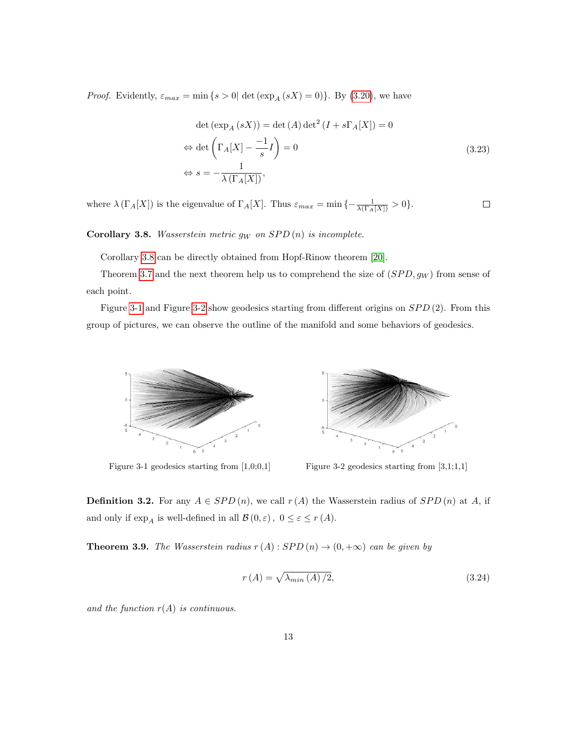<span id="page-12-2"></span>*Proof.* Evidently,  $\varepsilon_{max} = \min\{s > 0 | \det(\exp_A(sX) = 0)\}\.$  By [\(3.20\)](#page-11-0), we have

$$
\det (\exp_A (sX)) = \det (A) \det^2 (I + s\Gamma_A[X]) = 0
$$
  
\n
$$
\Leftrightarrow \det \left(\Gamma_A[X] - \frac{-1}{s}I\right) = 0
$$
  
\n
$$
\Leftrightarrow s = -\frac{1}{\lambda(\Gamma_A[X])},
$$
\n(3.23)

where  $\lambda(\Gamma_A[X])$  is the eigenvalue of  $\Gamma_A[X]$ . Thus  $\varepsilon_{max} = \min\{-\frac{1}{\lambda(\Gamma_A[X])} > 0\}$ .  $\Box$ 

<span id="page-12-0"></span>Corollary 3.8. Wasserstein metric  $g_W$  on  $SPD(n)$  is incomplete.

Corollary [3.8](#page-12-0) can be directly obtained from Hopf-Rinow theorem [\[20\]](#page-29-5).

Theorem [3.7](#page-11-1) and the next theorem help us to comprehend the size of  $(SPD, g_W)$  from sense of each point.

<span id="page-12-1"></span>Figure [3-1](#page-12-1) and Figure [3-2](#page-12-1) show geodesics starting from different origins on  $SPD(2)$ . From this group of pictures, we can observe the outline of the manifold and some behaviors of geodesics.





**Definition 3.2.** For any  $A \in SPD(n)$ , we call  $r(A)$  the Wasserstein radius of  $SPD(n)$  at A, if and only if  $\exp_{A}$  is well-defined in all  $\mathcal{B}\left(0,\varepsilon\right),\ 0\leq\varepsilon\leq r\left(A\right).$ 

**Theorem 3.9.** The Wasserstein radius  $r(A):$  SPD  $(n) \rightarrow (0, +\infty)$  can be given by

$$
r(A) = \sqrt{\lambda_{min}(A)/2},\tag{3.24}
$$

and the function  $r(A)$  is continuous.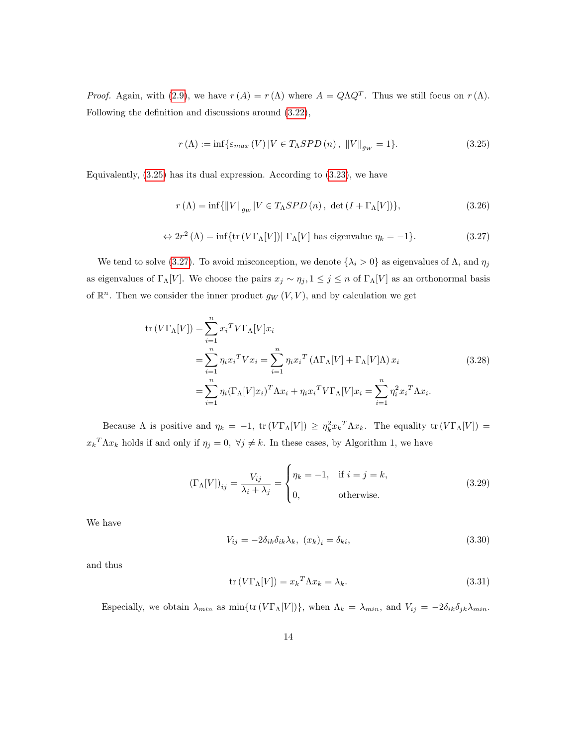*Proof.* Again, with [\(2.9\)](#page-6-0), we have  $r(A) = r(\Lambda)$  where  $A = Q\Lambda Q^T$ . Thus we still focus on  $r(\Lambda)$ . Following the definition and discussions around [\(3.22\)](#page-11-2),

<span id="page-13-0"></span>
$$
r(\Lambda) := \inf \{ \varepsilon_{max}(V) \left| V \in T_{\Lambda}SPD\left(n\right), \ \left\| V \right\|_{g_W} = 1 \}. \tag{3.25}
$$

Equivalently, [\(3.25\)](#page-13-0) has its dual expression. According to [\(3.23\)](#page-12-2), we have

$$
r(\Lambda) = \inf \{ ||V||_{g_W} | V \in T_{\Lambda}SPD(n), \, \det \left( I + \Gamma_{\Lambda}[V] \right) \},\tag{3.26}
$$

<span id="page-13-1"></span>
$$
\Leftrightarrow 2r^2 (\Lambda) = \inf \{ \text{tr} \left( V \Gamma_{\Lambda}[V] \right) | \Gamma_{\Lambda}[V] \text{ has eigenvalue } \eta_k = -1 \}. \tag{3.27}
$$

We tend to solve [\(3.27\)](#page-13-1). To avoid misconception, we denote  $\{\lambda_i > 0\}$  as eigenvalues of  $\Lambda$ , and  $\eta_j$ as eigenvalues of  $\Gamma_\Lambda[V]$ . We choose the pairs  $x_j \sim \eta_j$ ,  $1 \le j \le n$  of  $\Gamma_\Lambda[V]$  as an orthonormal basis of  $\mathbb{R}^n$ . Then we consider the inner product  $g_W(V, V)$ , and by calculation we get

$$
\operatorname{tr}\left(V\Gamma_{\Lambda}[V]\right) = \sum_{i=1}^{n} x_i^T V \Gamma_{\Lambda}[V] x_i
$$
\n
$$
= \sum_{i=1}^{n} \eta_i x_i^T V x_i = \sum_{i=1}^{n} \eta_i x_i^T \left(\Lambda \Gamma_{\Lambda}[V] + \Gamma_{\Lambda}[V]\Lambda\right) x_i
$$
\n
$$
= \sum_{i=1}^{n} \eta_i \left(\Gamma_{\Lambda}[V] x_i\right)^T \Lambda x_i + \eta_i x_i^T V \Gamma_{\Lambda}[V] x_i = \sum_{i=1}^{n} \eta_i^2 x_i^T \Lambda x_i.
$$
\n(3.28)

Because  $\Lambda$  is positive and  $\eta_k = -1$ ,  $\text{tr}(V\Gamma_\Lambda[V]) \geq \eta_k^2 x_k^T \Lambda x_k$ . The equality  $\text{tr}(V\Gamma_\Lambda[V]) =$  $x_k^T \Lambda x_k$  holds if and only if  $\eta_j = 0$ ,  $\forall j \neq k$ . In these cases, by Algorithm 1, we have

$$
\left(\Gamma_{\Lambda}[V]\right)_{ij} = \frac{V_{ij}}{\lambda_i + \lambda_j} = \begin{cases} \eta_k = -1, & \text{if } i = j = k, \\ 0, & \text{otherwise.} \end{cases}
$$
\n(3.29)

We have

$$
V_{ij} = -2\delta_{ik}\delta_{ik}\lambda_k, \ (x_k)_i = \delta_{ki}, \tag{3.30}
$$

and thus

$$
\operatorname{tr}(V\Gamma_{\Lambda}[V]) = x_k^T \Lambda x_k = \lambda_k. \tag{3.31}
$$

Especially, we obtain  $\lambda_{min}$  as  $\min\{tr(V\Gamma_\Lambda[V])\}$ , when  $\Lambda_k = \lambda_{min}$ , and  $V_{ij} = -2\delta_{ik}\delta_{jk}\lambda_{min}$ .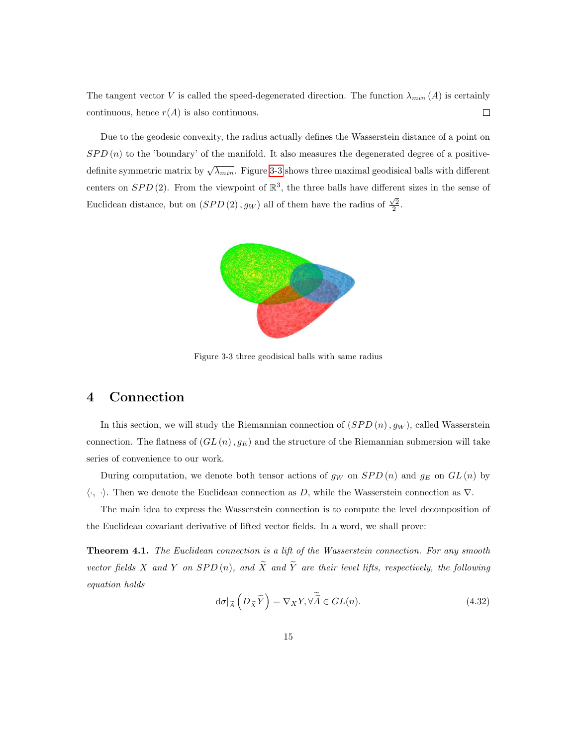The tangent vector V is called the speed-degenerated direction. The function  $\lambda_{min}(A)$  is certainly continuous, hence  $r(A)$  is also continuous.  $\Box$ 

<span id="page-14-0"></span>Due to the geodesic convexity, the radius actually defines the Wasserstein distance of a point on  $SPD(n)$  to the 'boundary' of the manifold. It also measures the degenerated degree of a positivedefinite symmetric matrix by  $\sqrt{\lambda_{min}}$ . Figure [3-3](#page-14-0) shows three maximal geodisical balls with different centers on  $SPD(2)$ . From the viewpoint of  $\mathbb{R}^3$ , the three balls have different sizes in the sense of Euclidean distance, but on  $(SPD(2), g_W)$  all of them have the radius of  $\frac{\sqrt{2}}{2}$ .



Figure 3-3 three geodisical balls with same radius

## 4 Connection

In this section, we will study the Riemannian connection of  $(SPD(n), gw)$ , called Wasserstein connection. The flatness of  $(GL(n), g_E)$  and the structure of the Riemannian submersion will take series of convenience to our work.

During computation, we denote both tensor actions of  $g_W$  on  $SPD(n)$  and  $g_E$  on  $GL(n)$  by  $\langle \cdot, \cdot \rangle$ . Then we denote the Euclidean connection as D, while the Wasserstein connection as  $\nabla$ .

The main idea to express the Wasserstein connection is to compute the level decomposition of the Euclidean covariant derivative of lifted vector fields. In a word, we shall prove:

<span id="page-14-1"></span>**Theorem 4.1.** The Euclidean connection is a lift of the Wasserstein connection. For any smooth vector fields X and Y on  $SPD(n)$ , and  $\widetilde{X}$  and  $\widetilde{Y}$  are their level lifts, respectively, the following equation holds

$$
\mathrm{d}\sigma|_{\widetilde{A}}\left(D_{\widetilde{X}}\widetilde{Y}\right) = \nabla_X Y, \forall \widetilde{\widetilde{A}} \in GL(n). \tag{4.32}
$$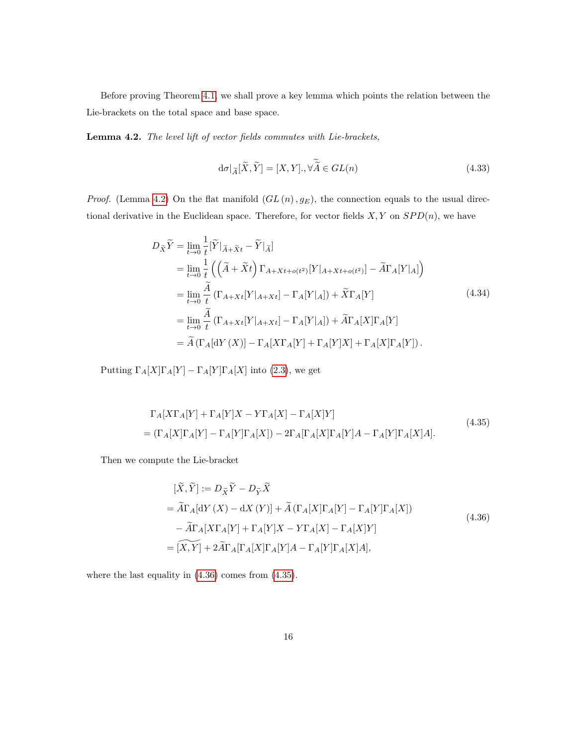Before proving Theorem [4.1,](#page-14-1) we shall prove a key lemma which points the relation between the Lie-brackets on the total space and base space.

<span id="page-15-0"></span>Lemma 4.2. The level lift of vector fields commutes with Lie-brackets,

$$
d\sigma|_{\widetilde{A}}[\widetilde{X}, \widetilde{Y}] = [X, Y], \forall \widetilde{\widetilde{A}} \in GL(n)
$$
\n(4.33)

*Proof.* (Lemma [4.2\)](#page-15-0) On the flat manifold  $(GL(n), g_E)$ , the connection equals to the usual directional derivative in the Euclidean space. Therefore, for vector fields  $X, Y$  on  $SPD(n)$ , we have

<span id="page-15-3"></span>
$$
D_{\tilde{X}}\tilde{Y} = \lim_{t \to 0} \frac{1}{t} [\tilde{Y}|_{\tilde{A} + \tilde{X}t} - \tilde{Y}|_{\tilde{A}}]
$$
  
\n
$$
= \lim_{t \to 0} \frac{1}{t} \left( (\tilde{A} + \tilde{X}t) \Gamma_{A + Xt + o(t^2)} [Y|_{A + Xt + o(t^2)}] - \tilde{A}\Gamma_A [Y|_{A}] \right)
$$
  
\n
$$
= \lim_{t \to 0} \frac{\tilde{A}}{t} (\Gamma_{A + Xt} [Y|_{A + Xt}] - \Gamma_A [Y|_{A}]) + \tilde{X}\Gamma_A [Y]
$$
  
\n
$$
= \lim_{t \to 0} \frac{\tilde{A}}{t} (\Gamma_{A + Xt} [Y|_{A + Xt}] - \Gamma_A [Y|_{A}]) + \tilde{A}\Gamma_A [X] \Gamma_A [Y]
$$
  
\n
$$
= \tilde{A} (\Gamma_A [dY(X)] - \Gamma_A [X\Gamma_A [Y] + \Gamma_A [Y]X] + \Gamma_A [X] \Gamma_A [Y]).
$$
  
\n(4.34)

<span id="page-15-2"></span>Putting  $\Gamma_A[X]\Gamma_A[Y] - \Gamma_A[Y]\Gamma_A[X]$  into [\(2.3\)](#page-3-0), we get

$$
\Gamma_A[X\Gamma_A[Y] + \Gamma_A[Y]X - Y\Gamma_A[X] - \Gamma_A[X]Y]
$$
\n
$$
= (\Gamma_A[X]\Gamma_A[Y] - \Gamma_A[Y]\Gamma_A[X]) - 2\Gamma_A[\Gamma_A[X]\Gamma_A[Y]A - \Gamma_A[Y]\Gamma_A[X]A].
$$
\n(4.35)

<span id="page-15-1"></span>Then we compute the Lie-bracket

$$
[\widetilde{X}, \widetilde{Y}] := D_{\widetilde{X}} \widetilde{Y} - D_{\widetilde{Y}} \widetilde{X}
$$
  
=  $\widetilde{A}\Gamma_A[\mathrm{d}Y(X) - \mathrm{d}X(Y)] + \widetilde{A}(\Gamma_A[X]\Gamma_A[Y] - \Gamma_A[Y]\Gamma_A[X])$   

$$
- \widetilde{A}\Gamma_A[X\Gamma_A[Y] + \Gamma_A[Y]X - Y\Gamma_A[X] - \Gamma_A[X]Y]
$$
  
=  $[\widetilde{X}, Y] + 2\widetilde{A}\Gamma_A[\Gamma_A[X]\Gamma_A[Y]A - \Gamma_A[Y]\Gamma_A[X]A],$  (4.36)

where the last equality in [\(4.36\)](#page-15-1) comes from [\(4.35\)](#page-15-2).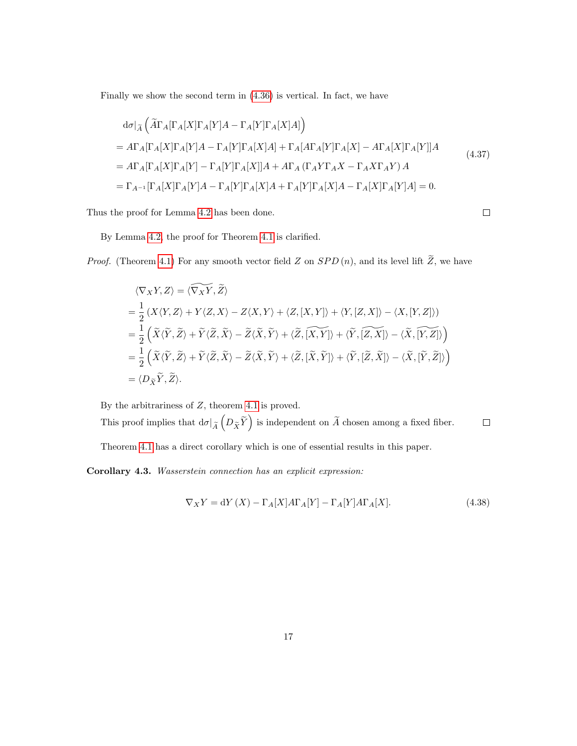Finally we show the second term in [\(4.36\)](#page-15-1) is vertical. In fact, we have

<span id="page-16-0"></span>
$$
d\sigma|_{\widetilde{A}} \left( \widetilde{A}\Gamma_A[\Gamma_A[X]\Gamma_A[Y]A - \Gamma_A[Y]\Gamma_A[X]A] \right)
$$
  
\n
$$
= A\Gamma_A[\Gamma_A[X]\Gamma_A[Y]A - \Gamma_A[Y]\Gamma_A[X]A] + \Gamma_A[A\Gamma_A[Y]\Gamma_A[X] - A\Gamma_A[X]\Gamma_A[Y]]A
$$
  
\n
$$
= A\Gamma_A[\Gamma_A[X]\Gamma_A[Y] - \Gamma_A[Y]\Gamma_A[X]]A + A\Gamma_A(\Gamma_AY\Gamma_AX - \Gamma_AX\Gamma_AY)A
$$
  
\n
$$
= \Gamma_{A^{-1}}[\Gamma_A[X]\Gamma_A[Y]A - \Gamma_A[Y]\Gamma_A[X]A + \Gamma_A[Y]\Gamma_A[X]A - \Gamma_A[X]\Gamma_A[Y]A] = 0.
$$
\n(4.37)

Thus the proof for Lemma [4.2](#page-15-0) has been done.

 $\Box$ 

By Lemma [4.2,](#page-15-0) the proof for Theorem [4.1](#page-14-1) is clarified.

*Proof.* (Theorem [4.1\)](#page-14-1) For any smooth vector field Z on  $SPD(n)$ , and its level lift  $\widetilde{Z}$ , we have

$$
\langle \nabla_X Y, Z \rangle = \langle \widetilde{\nabla_X Y}, \widetilde{Z} \rangle
$$
  
=  $\frac{1}{2} \langle X \langle Y, Z \rangle + Y \langle Z, X \rangle - Z \langle X, Y \rangle + \langle Z, [X, Y] \rangle + \langle Y, [Z, X] \rangle - \langle X, [Y, Z] \rangle)$   
=  $\frac{1}{2} \left( \widetilde{X} \langle \widetilde{Y}, \widetilde{Z} \rangle + \widetilde{Y} \langle \widetilde{Z}, \widetilde{X} \rangle - \widetilde{Z} \langle \widetilde{X}, \widetilde{Y} \rangle + \langle \widetilde{Z}, \widetilde{[X, Y]} \rangle + \langle \widetilde{Y}, \widetilde{[Z, X]} \rangle - \langle \widetilde{X}, \widetilde{[Y, Z]} \rangle \right)$   
=  $\frac{1}{2} \left( \widetilde{X} \langle \widetilde{Y}, \widetilde{Z} \rangle + \widetilde{Y} \langle \widetilde{Z}, \widetilde{X} \rangle - \widetilde{Z} \langle \widetilde{X}, \widetilde{Y} \rangle + \langle \widetilde{Z}, [\widetilde{X}, \widetilde{Y}] \rangle + \langle \widetilde{Y}, [\widetilde{Z}, \widetilde{X}] \rangle - \langle \widetilde{X}, [\widetilde{Y}, \widetilde{Z}] \rangle \right)$   
=  $\langle D_{\widetilde{X}} \widetilde{Y}, \widetilde{Z} \rangle.$ 

By the arbitrariness of  $Z$ , theorem [4.1](#page-14-1) is proved.

This proof implies that  $d\sigma|_{\widetilde{A}}\left(D_{\widetilde{X}}\widetilde{Y}\right)$  is independent on  $\widetilde{A}$  chosen among a fixed fiber.  $\Box$ 

Theorem [4.1](#page-14-1) has a direct corollary which is one of essential results in this paper.

Corollary 4.3. Wasserstein connection has an explicit expression:

$$
\nabla_X Y = dY(X) - \Gamma_A[X]A\Gamma_A[Y] - \Gamma_A[Y]A\Gamma_A[X].
$$
\n(4.38)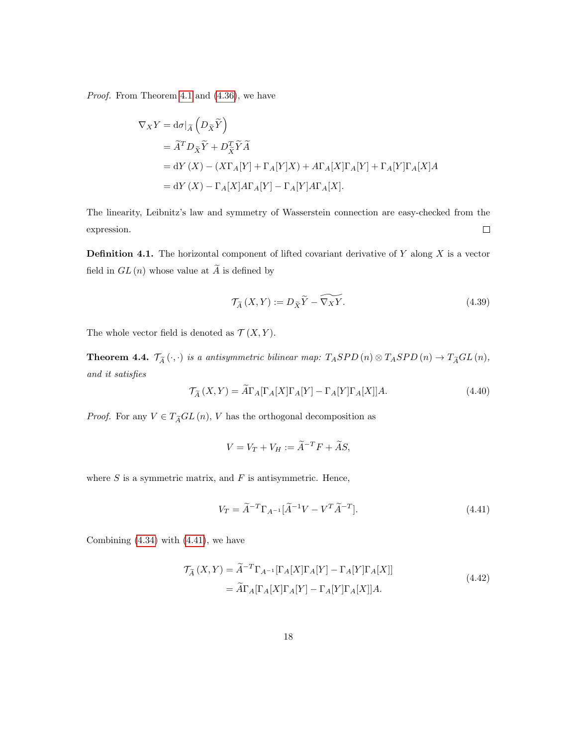Proof. From Theorem [4.1](#page-14-1) and [\(4.36\)](#page-15-1), we have

$$
\nabla_X Y = d\sigma|_{\widetilde{A}} \left( D_{\widetilde{X}} \widetilde{Y} \right)
$$
  
=  $\widetilde{A}^T D_{\widetilde{X}} \widetilde{Y} + D_{\widetilde{X}}^T \widetilde{Y} \widetilde{A}$   
=  $dY(X) - (X\Gamma_A[Y] + \Gamma_A[Y]X) + A\Gamma_A[X]\Gamma_A[Y] + \Gamma_A[Y]\Gamma_A[X]A$   
=  $dY(X) - \Gamma_A[X]A\Gamma_A[Y] - \Gamma_A[Y]A\Gamma_A[X].$ 

The linearity, Leibnitz's law and symmetry of Wasserstein connection are easy-checked from the expression.  $\Box$ 

**Definition 4.1.** The horizontal component of lifted covariant derivative of  $Y$  along  $X$  is a vector field in  $GL(n)$  whose value at  $\widetilde{A}$  is defined by

$$
\mathcal{T}_{\widetilde{A}}\left(X,Y\right) := D_{\widetilde{X}}\widetilde{Y} - \widetilde{\nabla_{X}Y}.\tag{4.39}
$$

The whole vector field is denoted as  $\mathcal{T}(X, Y)$ .

**Theorem 4.4.**  $\mathcal{T}_{\widetilde{A}}(\cdot,\cdot)$  is a antisymmetric bilinear map:  $T_{A}SPD(n) \otimes T_{A}SPD(n) \rightarrow T_{\widetilde{A}}GL(n)$ , and it satisfies

$$
\mathcal{T}_{\widetilde{A}}(X,Y) = \widetilde{A}\Gamma_A[\Gamma_A[X]\Gamma_A[Y] - \Gamma_A[Y]\Gamma_A[X]]A.
$$
\n(4.40)

*Proof.* For any  $V\in T_{\widetilde{A}}GL\left(n\right),\,V$  has the orthogonal decomposition as

$$
V = V_T + V_H := \widetilde{A}^{-T}F + \widetilde{A}S,
$$

where  $S$  is a symmetric matrix, and  $F$  is antisymmetric. Hence,

<span id="page-17-0"></span>
$$
V_T = \widetilde{A}^{-T} \Gamma_{A^{-1}} [\widetilde{A}^{-1} V - V^T \widetilde{A}^{-T}]. \tag{4.41}
$$

<span id="page-17-1"></span>Combining  $(4.34)$  with  $(4.41)$ , we have

$$
\mathcal{T}_{\widetilde{A}}(X,Y) = \widetilde{A}^{-T} \Gamma_{A^{-1}}[\Gamma_A[X] \Gamma_A[Y] - \Gamma_A[Y] \Gamma_A[X]]
$$
  
=  $\widetilde{A}\Gamma_A[\Gamma_A[X] \Gamma_A[Y] - \Gamma_A[Y] \Gamma_A[X]]A.$  (4.42)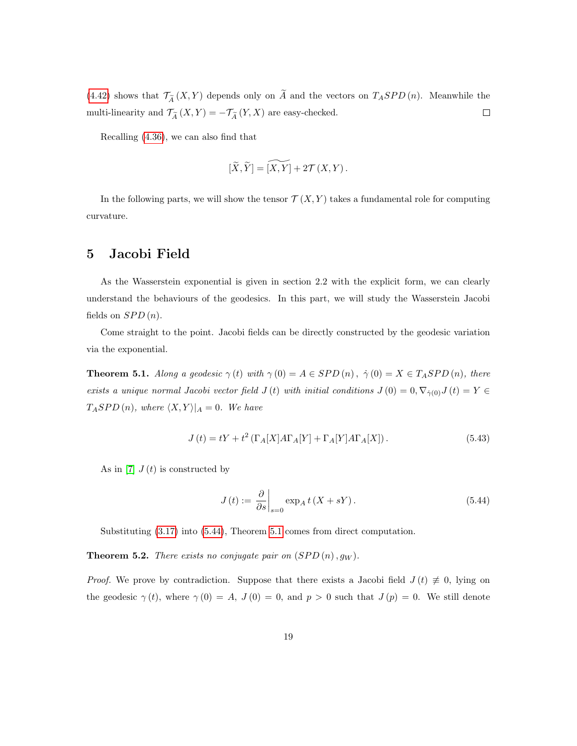[\(4.42\)](#page-17-1) shows that  $\mathcal{T}_{\widetilde{A}}(X, Y)$  depends only on  $\widetilde{A}$  and the vectors on  $T_{A}SPD(n)$ . Meanwhile the multi-linearity and  $\mathcal{T}_{\widetilde{A}}\left(X,Y\right)=-\mathcal{T}_{\widetilde{A}}\left(Y,X\right)$  are easy-checked.  $\Box$ 

Recalling [\(4.36\)](#page-15-1), we can also find that

$$
[\widetilde{X}, \widetilde{Y}] = \widetilde{[X, Y]} + 2\mathcal{T}(X, Y).
$$

In the following parts, we will show the tensor  $\mathcal{T}(X, Y)$  takes a fundamental role for computing curvature.

# 5 Jacobi Field

As the Wasserstein exponential is given in section 2.2 with the explicit form, we can clearly understand the behaviours of the geodesics. In this part, we will study the Wasserstein Jacobi fields on  $SPD(n)$ .

Come straight to the point. Jacobi fields can be directly constructed by the geodesic variation via the exponential.

<span id="page-18-1"></span>**Theorem 5.1.** Along a geodesic  $\gamma(t)$  with  $\gamma(0) = A \in SPD(n)$ ,  $\dot{\gamma}(0) = X \in T_ASPD(n)$ , there exists a unique normal Jacobi vector field  $J(t)$  with initial conditions  $J(0) = 0, \nabla_{\dot{\gamma}(0)}J(t) = Y \in$  $T_ASPD(n)$ , where  $\langle X, Y \rangle |_{A} = 0$ . We have

$$
J(t) = tY + t^2 \left( \Gamma_A[X]A\Gamma_A[Y] + \Gamma_A[Y]A\Gamma_A[X] \right). \tag{5.43}
$$

As in [\[7\]](#page-28-12)  $J(t)$  is constructed by

<span id="page-18-0"></span>
$$
J(t) := \left. \frac{\partial}{\partial s} \right|_{s=0} \exp_A t (X + sY). \tag{5.44}
$$

Substituting [\(3.17\)](#page-10-1) into [\(5.44\)](#page-18-0), Theorem [5.1](#page-18-1) comes from direct computation.

**Theorem 5.2.** There exists no conjugate pair on  $(SPD(n), g_W)$ .

*Proof.* We prove by contradiction. Suppose that there exists a Jacobi field  $J(t) \neq 0$ , lying on the geodesic  $\gamma(t)$ , where  $\gamma(0) = A$ ,  $J(0) = 0$ , and  $p > 0$  such that  $J(p) = 0$ . We still denote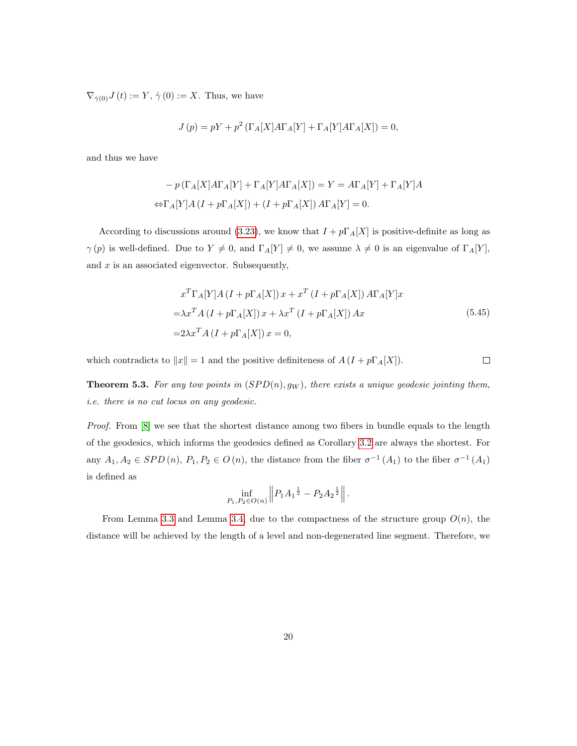$\nabla_{\dot{\gamma}(0)}J(t) := Y, \dot{\gamma}(0) := X.$  Thus, we have

$$
J(p) = pY + p^{2} (\Gamma_{A}[X]A\Gamma_{A}[Y] + \Gamma_{A}[Y]A\Gamma_{A}[X]) = 0,
$$

and thus we have

$$
- p \left( \Gamma_A[X] A \Gamma_A[Y] + \Gamma_A[Y] A \Gamma_A[X] \right) = Y = A \Gamma_A[Y] + \Gamma_A[Y] A
$$
  

$$
\Leftrightarrow \Gamma_A[Y] A (I + p \Gamma_A[X]) + (I + p \Gamma_A[X]) A \Gamma_A[Y] = 0.
$$

According to discussions around [\(3.23\)](#page-12-2), we know that  $I + p\Gamma_A[X]$  is positive-definite as long as  $\gamma(p)$  is well-defined. Due to  $Y \neq 0$ , and  $\Gamma_A[Y] \neq 0$ , we assume  $\lambda \neq 0$  is an eigenvalue of  $\Gamma_A[Y]$ , and  $x$  is an associated eigenvector. Subsequently,

$$
x^{T}\Gamma_{A}[Y]A (I + p\Gamma_{A}[X]) x + x^{T} (I + p\Gamma_{A}[X]) A\Gamma_{A}[Y]x
$$
  

$$
= \lambda x^{T} A (I + p\Gamma_{A}[X]) x + \lambda x^{T} (I + p\Gamma_{A}[X]) Ax
$$
  

$$
= 2\lambda x^{T} A (I + p\Gamma_{A}[X]) x = 0,
$$
  
(5.45)

which contradicts to  $||x|| = 1$  and the positive definiteness of  $A (I + p\Gamma_A[X])$ .  $\Box$ 

**Theorem 5.3.** For any tow points in  $(SPD(n), g_W)$ , there exists a unique geodesic jointing them, i.e. there is no cut locus on any geodesic.

Proof. From  $[8]$  we see that the shortest distance among two fibers in bundle equals to the length of the geodesics, which informs the geodesics defined as Corollary [3.2](#page-8-1) are always the shortest. For any  $A_1, A_2 \in SPD(n), P_1, P_2 \in O(n)$ , the distance from the fiber  $\sigma^{-1}(A_1)$  to the fiber  $\sigma^{-1}(A_1)$ is defined as

$$
\inf_{P_1, P_2 \in O(n)} \left\| P_1 A_1^{\frac{1}{2}} - P_2 A_2^{\frac{1}{2}} \right\|.
$$

From Lemma [3.3](#page-8-2) and Lemma [3.4,](#page-9-0) due to the compactness of the structure group  $O(n)$ , the distance will be achieved by the length of a level and non-degenerated line segment. Therefore, we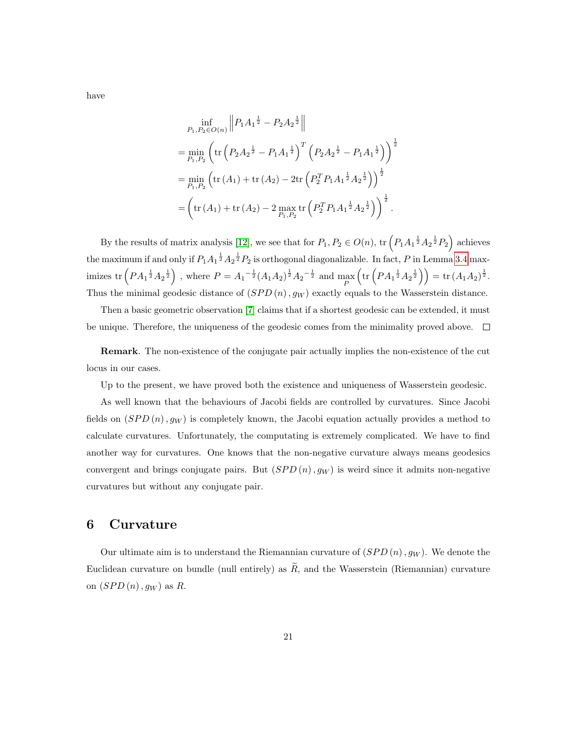have

$$
\inf_{P_1, P_2 \in O(n)} \left\| P_1 A_1^{\frac{1}{2}} - P_2 A_2^{\frac{1}{2}} \right\|
$$
\n
$$
= \min_{P_1, P_2} \left( \text{tr} \left( P_2 A_2^{\frac{1}{2}} - P_1 A_1^{\frac{1}{2}} \right)^T \left( P_2 A_2^{\frac{1}{2}} - P_1 A_1^{\frac{1}{2}} \right) \right)^{\frac{1}{2}}
$$
\n
$$
= \min_{P_1, P_2} \left( \text{tr} \left( A_1 \right) + \text{tr} \left( A_2 \right) - 2 \text{tr} \left( P_2^T P_1 A_1^{\frac{1}{2}} A_2^{\frac{1}{2}} \right) \right)^{\frac{1}{2}}
$$
\n
$$
= \left( \text{tr} \left( A_1 \right) + \text{tr} \left( A_2 \right) - 2 \max_{P_1, P_2} \text{tr} \left( P_2^T P_1 A_1^{\frac{1}{2}} A_2^{\frac{1}{2}} \right) \right)^{\frac{1}{2}}.
$$

By the results of matrix analysis [\[12\]](#page-28-0), we see that for  $P_1, P_2 \in O(n)$ , tr  $\left(P_1A_1^{\frac{1}{2}}A_2^{\frac{1}{2}}P_2\right)$  achieves the maximum if and only if  $P_1A_1^{-\frac{1}{2}}A_2^{-\frac{1}{2}}P_2$  is orthogonal diagonalizable. In fact,  $P$  in Lemma [3.4](#page-9-0) maximizes tr  $\left(PA_1^{\frac{1}{2}}A_2^{\frac{1}{2}}\right)$  , where  $P = A_1^{-\frac{1}{2}}(A_1A_2)^{\frac{1}{2}}A_2^{-\frac{1}{2}}$  and  $\max_P$  $\left(\text{tr}\left(PA_1^{-\frac{1}{2}}A_2^{-\frac{1}{2}}\right)\right) = \text{tr}\left(A_1A_2\right)^{\frac{1}{2}}.$ Thus the minimal geodesic distance of  $(SPD(n), g_W)$  exactly equals to the Wasserstein distance.

Then a basic geometric observation [\[7\]](#page-28-12) claims that if a shortest geodesic can be extended, it must be unique. Therefore, the uniqueness of the geodesic comes from the minimality proved above.  $\Box$ 

Remark. The non-existence of the conjugate pair actually implies the non-existence of the cut locus in our cases.

Up to the present, we have proved both the existence and uniqueness of Wasserstein geodesic.

As well known that the behaviours of Jacobi fields are controlled by curvatures. Since Jacobi fields on  $(SPD(n), g_W)$  is completely known, the Jacobi equation actually provides a method to calculate curvatures. Unfortunately, the computating is extremely complicated. We have to find another way for curvatures. One knows that the non-negative curvature always means geodesics convergent and brings conjugate pairs. But  $(SPD(n), g_W)$  is weird since it admits non-negative curvatures but without any conjugate pair.

## 6 Curvature

Our ultimate aim is to understand the Riemannian curvature of  $(SPD(n), g_W)$ . We denote the Euclidean curvature on bundle (null entirely) as  $\widetilde{R}$ , and the Wasserstein (Riemannian) curvature on  $(SPD(n), g_W)$  as R.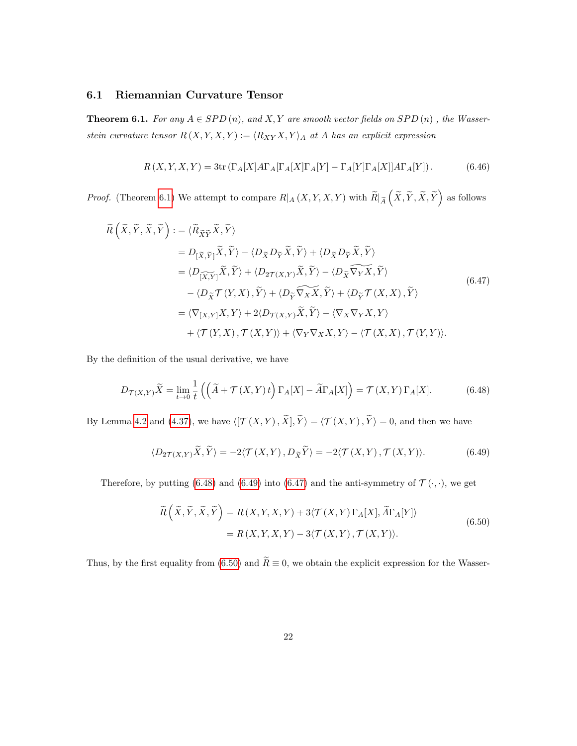#### 6.1 Riemannian Curvature Tensor

<span id="page-21-0"></span>**Theorem 6.1.** For any  $A \in SPD(n)$ , and X, Y are smooth vector fields on  $SPD(n)$ , the Wasserstein curvature tensor  $R(X, Y, X, Y) := \langle R_{XY}X, Y \rangle_A$  at A has an explicit expression

$$
R(X,Y,X,Y) = 3tr(\Gamma_A[X]A\Gamma_A[\Gamma_A[X]\Gamma_A[Y] - \Gamma_A[Y]\Gamma_A[X]]A\Gamma_A[Y]).
$$
 (6.46)

*Proof.* (Theorem [6.1\)](#page-21-0) We attempt to compare  $R|_A(X, Y, X, Y)$  with  $\widetilde{R}|_{\widetilde{A}}(\widetilde{X}, \widetilde{Y}, \widetilde{X}, \widetilde{Y})$  as follows

<span id="page-21-3"></span>
$$
\widetilde{R}\left(\widetilde{X},\widetilde{Y},\widetilde{X},\widetilde{Y}\right) := \langle \widetilde{R}_{\widetilde{X}\widetilde{Y}}\widetilde{X},\widetilde{Y}\rangle
$$
\n
$$
= D_{\left[\widetilde{X},\widetilde{Y}\right]}\widetilde{X},\widetilde{Y}\rangle - \langle D_{\widetilde{X}}D_{\widetilde{Y}}\widetilde{X},\widetilde{Y}\rangle + \langle D_{\widetilde{X}}D_{\widetilde{Y}}\widetilde{X},\widetilde{Y}\rangle
$$
\n
$$
= \langle D_{\left[\widetilde{X},\widetilde{Y}\right]}\widetilde{X},\widetilde{Y}\rangle + \langle D_{2\mathcal{T}(X,Y)}\widetilde{X},\widetilde{Y}\rangle - \langle D_{\widetilde{X}}\widetilde{\nabla_{Y}X},\widetilde{Y}\rangle
$$
\n
$$
- \langle D_{\widetilde{X}}\mathcal{T}(Y,X),\widetilde{Y}\rangle + \langle D_{\widetilde{Y}}\widetilde{\nabla_{X}X},\widetilde{Y}\rangle + \langle D_{\widetilde{Y}}\mathcal{T}(X,X),\widetilde{Y}\rangle
$$
\n
$$
= \langle \nabla_{[X,Y]}X,Y\rangle + 2\langle D_{\mathcal{T}(X,Y)}\widetilde{X},\widetilde{Y}\rangle - \langle \nabla_{X}\nabla_{Y}X,Y\rangle
$$
\n
$$
+ \langle \mathcal{T}(Y,X),\mathcal{T}(X,Y)\rangle + \langle \nabla_{Y}\nabla_{X}X,Y\rangle - \langle \mathcal{T}(X,X),\mathcal{T}(Y,Y)\rangle.
$$
\n(6.47)

By the definition of the usual derivative, we have

<span id="page-21-1"></span>
$$
D_{\mathcal{T}(X,Y)}\widetilde{X} = \lim_{t \to 0} \frac{1}{t} \left( \left( \widetilde{A} + \mathcal{T}(X,Y) t \right) \Gamma_A[X] - \widetilde{A}\Gamma_A[X] \right) = \mathcal{T}(X,Y)\Gamma_A[X]. \tag{6.48}
$$

By Lemma [4.2](#page-15-0) and [\(4.37\)](#page-16-0), we have  $\langle [\mathcal{T}(X, Y), \tilde{X}], \tilde{Y} \rangle = \langle \mathcal{T}(X, Y), \tilde{Y} \rangle = 0$ , and then we have

<span id="page-21-2"></span>
$$
\langle D_{2\mathcal{T}(X,Y)}\widetilde{X}, \widetilde{Y}\rangle = -2\langle \mathcal{T}(X,Y), D_{\widetilde{X}}\widetilde{Y}\rangle = -2\langle \mathcal{T}(X,Y), \mathcal{T}(X,Y)\rangle.
$$
 (6.49)

<span id="page-21-4"></span>Therefore, by putting [\(6.48\)](#page-21-1) and [\(6.49\)](#page-21-2) into [\(6.47\)](#page-21-3) and the anti-symmetry of  $\mathcal{T}(\cdot, \cdot)$ , we get

$$
\widetilde{R}\left(\widetilde{X},\widetilde{Y},\widetilde{X},\widetilde{Y}\right) = R\left(X,Y,X,Y\right) + 3\langle \mathcal{T}\left(X,Y\right)\Gamma_A[X],\widetilde{A}\Gamma_A[Y]\rangle
$$
\n
$$
= R\left(X,Y,X,Y\right) - 3\langle \mathcal{T}\left(X,Y\right),\mathcal{T}\left(X,Y\right)\rangle. \tag{6.50}
$$

Thus, by the first equality from [\(6.50\)](#page-21-4) and  $\widetilde{R} \equiv 0$ , we obtain the explicit expression for the Wasser-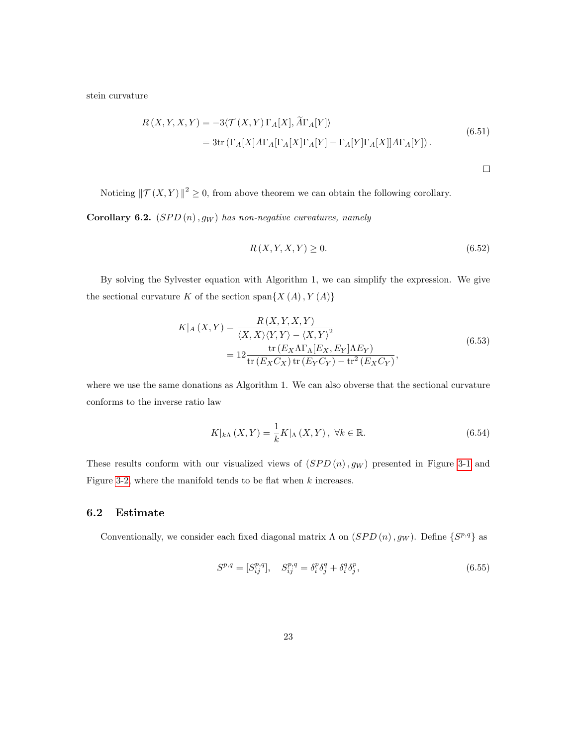stein curvature

$$
R(X,Y,X,Y) = -3\langle \mathcal{T}(X,Y)\Gamma_A[X], \widetilde{A}\Gamma_A[Y] \rangle
$$
  
= 3tr $(\Gamma_A[X]A\Gamma_A[\Gamma_A[X]\Gamma_A[Y] - \Gamma_A[Y]\Gamma_A[X]]A\Gamma_A[Y])$ . (6.51)

 $\Box$ 

Noticing  $\|\mathcal{T}(X, Y)\|^2 \geq 0$ , from above theorem we can obtain the following corollary.

Corollary 6.2.  $(SPD(n), g_W)$  has non-negative curvatures, namely

$$
R(X, Y, X, Y) \ge 0. \tag{6.52}
$$

By solving the Sylvester equation with Algorithm 1, we can simplify the expression. We give the sectional curvature K of the section span $\{X(A), Y(A)\}$ 

$$
K|_{A}(X,Y) = \frac{R(X,Y,X,Y)}{\langle X,X\rangle\langle Y,Y\rangle - \langle X,Y\rangle^{2}}
$$
  
= 
$$
12 \frac{\text{tr}(E_{X}\Lambda\Gamma_{\Lambda}[E_{X},E_{Y}]\Lambda E_{Y})}{\text{tr}(E_{X}C_{X})\text{tr}(E_{Y}C_{Y}) - \text{tr}^{2}(E_{X}C_{Y})},
$$
(6.53)

where we use the same donations as Algorithm 1. We can also obverse that the sectional curvature conforms to the inverse ratio law

$$
K|_{k\Lambda}(X,Y) = \frac{1}{k}K|_{\Lambda}(X,Y), \ \forall k \in \mathbb{R}.\tag{6.54}
$$

These results conform with our visualized views of  $(SPD(n), g_W)$  presented in Figure [3-1](#page-12-1) and Figure [3-2,](#page-12-1) where the manifold tends to be flat when  $k$  increases.

#### 6.2 Estimate

Conventionally, we consider each fixed diagonal matrix  $\Lambda$  on  $(SPD(n), g_W)$ . Define  $\{S^{p,q}\}\$  as

$$
S^{p,q} = [S^{p,q}_{ij}], \quad S^{p,q}_{ij} = \delta^p_i \delta^q_j + \delta^q_i \delta^p_j, \tag{6.55}
$$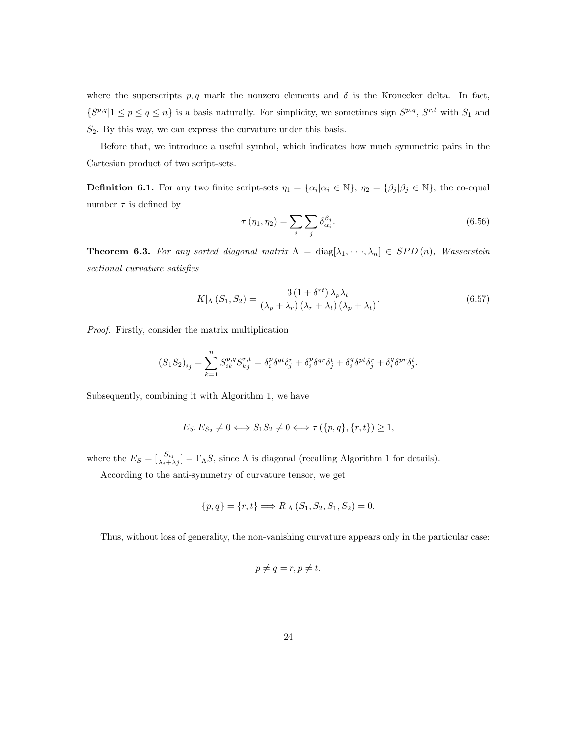where the superscripts  $p, q$  mark the nonzero elements and  $\delta$  is the Kronecker delta. In fact,  $\{S^{p,q}|1 \leq p \leq q \leq n\}$  is a basis naturally. For simplicity, we sometimes sign  $S^{p,q}, S^{r,t}$  with  $S_1$  and  $S_2$ . By this way, we can express the curvature under this basis.

Before that, we introduce a useful symbol, which indicates how much symmetric pairs in the Cartesian product of two script-sets.

**Definition 6.1.** For any two finite script-sets  $\eta_1 = {\alpha_i | \alpha_i \in \mathbb{N}}$ ,  $\eta_2 = {\beta_j | \beta_j \in \mathbb{N}}$ , the co-equal number  $\tau$  is defined by

$$
\tau(\eta_1, \eta_2) = \sum_i \sum_j \delta_{\alpha_i}^{\beta_j}.
$$
\n(6.56)

<span id="page-23-0"></span>**Theorem 6.3.** For any sorted diagonal matrix  $\Lambda = \text{diag}[\lambda_1, \dots, \lambda_n] \in SPD(n)$ , Wasserstein sectional curvature satisfies

$$
K|_{\Lambda} (S_1, S_2) = \frac{3 (1 + \delta^{rt}) \lambda_p \lambda_t}{(\lambda_p + \lambda_r) (\lambda_r + \lambda_t) (\lambda_p + \lambda_t)}.
$$
\n(6.57)

Proof. Firstly, consider the matrix multiplication

$$
(S_1 S_2)_{ij} = \sum_{k=1}^n S_{ik}^{p,q} S_{kj}^{r,t} = \delta_i^p \delta^{qt} \delta_j^r + \delta_i^p \delta^{qr} \delta_j^t + \delta_i^q \delta^{pt} \delta_j^r + \delta_i^q \delta^{pr} \delta_j^t.
$$

Subsequently, combining it with Algorithm 1, we have

$$
E_{S_1}E_{S_2} \neq 0 \Longleftrightarrow S_1S_2 \neq 0 \Longleftrightarrow \tau(\{p,q\},\{r,t\}) \ge 1,
$$

where the  $E_S = \left[\frac{S_{ij}}{\lambda_i + \lambda_j}\right] = \Gamma_{\Lambda}S$ , since  $\Lambda$  is diagonal (recalling Algorithm 1 for details).

According to the anti-symmetry of curvature tensor, we get

$$
\{p, q\} = \{r, t\} \Longrightarrow R|_{\Lambda} (S_1, S_2, S_1, S_2) = 0.
$$

Thus, without loss of generality, the non-vanishing curvature appears only in the particular case:

$$
p \neq q = r, p \neq t.
$$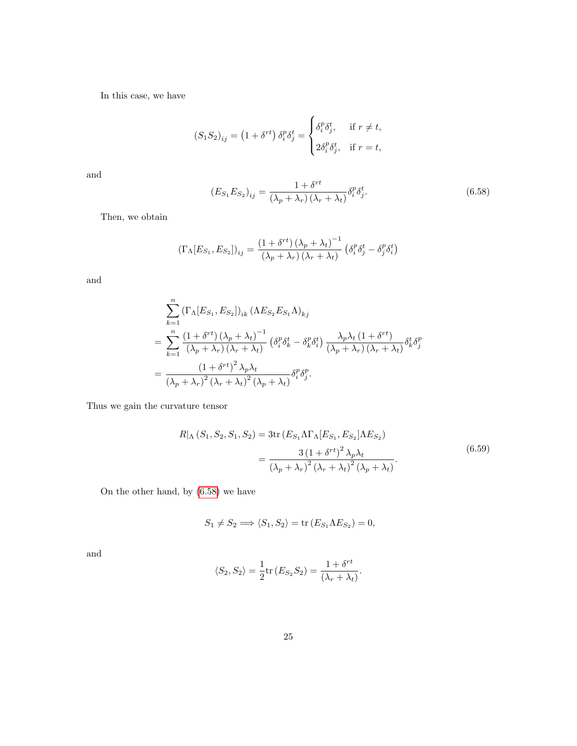In this case, we have

$$
(S_1 S_2)_{ij} = (1 + \delta^{rt}) \delta_i^p \delta_j^t = \begin{cases} \delta_i^p \delta_j^t, & \text{if } r \neq t, \\ 2\delta_i^p \delta_j^t, & \text{if } r = t, \end{cases}
$$

and

<span id="page-24-0"></span>
$$
(E_{S_1}E_{S_2})_{ij} = \frac{1 + \delta^{rt}}{(\lambda_p + \lambda_r)(\lambda_r + \lambda_t)} \delta_i^p \delta_j^t.
$$
\n(6.58)

Then, we obtain

$$
\left(\Gamma_{\Lambda}[E_{S_1}, E_{S_2}]\right)_{ij} = \frac{\left(1 + \delta^{rt}\right)\left(\lambda_p + \lambda_t\right)^{-1}}{\left(\lambda_p + \lambda_r\right)\left(\lambda_r + \lambda_t\right)} \left(\delta_i^p \delta_j^t - \delta_j^p \delta_i^t\right)
$$

and

$$
\sum_{k=1}^{n} (\Gamma_{\Lambda}[E_{S_1}, E_{S_2}])_{ik} (\Lambda E_{S_2} E_{S_1} \Lambda)_{kj}
$$
\n
$$
= \sum_{k=1}^{n} \frac{(1 + \delta^{rt}) (\lambda_p + \lambda_t)^{-1}}{(\lambda_p + \lambda_r) (\lambda_r + \lambda_t)} (\delta_i^p \delta_k^t - \delta_k^p \delta_i^t) \frac{\lambda_p \lambda_t (1 + \delta^{rt})}{(\lambda_p + \lambda_r) (\lambda_r + \lambda_t)} \delta_k^t \delta_j^p
$$
\n
$$
= \frac{(1 + \delta^{rt})^2 \lambda_p \lambda_t}{(\lambda_p + \lambda_r)^2 (\lambda_r + \lambda_t)^2 (\lambda_p + \lambda_t)} \delta_i^p \delta_j^p.
$$

<span id="page-24-1"></span>Thus we gain the curvature tensor

$$
R|_{\Lambda} (S_1, S_2, S_1, S_2) = 3 \text{tr} (E_{S_1} \Lambda \Gamma_{\Lambda} [E_{S_1}, E_{S_2}] \Lambda E_{S_2})
$$
  
= 
$$
\frac{3 (1 + \delta^{rt})^2 \lambda_p \lambda_t}{(\lambda_p + \lambda_r)^2 (\lambda_r + \lambda_t)^2 (\lambda_p + \lambda_t)}.
$$
(6.59)

On the other hand, by [\(6.58\)](#page-24-0) we have

$$
S_1 \neq S_2 \Longrightarrow \langle S_1, S_2 \rangle = \text{tr}(E_{S_1} \Lambda E_{S_2}) = 0,
$$

and

$$
\langle S_2, S_2 \rangle = \frac{1}{2} \text{tr} (E_{S_2} S_2) = \frac{1 + \delta^{rt}}{(\lambda_r + \lambda_t)}.
$$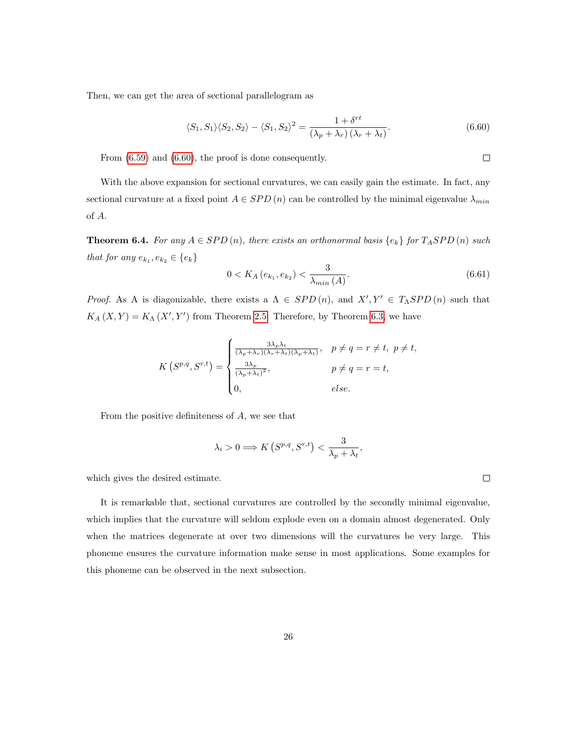Then, we can get the area of sectional parallelogram as

<span id="page-25-0"></span>
$$
\langle S_1, S_1 \rangle \langle S_2, S_2 \rangle - \langle S_1, S_2 \rangle^2 = \frac{1 + \delta^{rt}}{(\lambda_p + \lambda_r)(\lambda_r + \lambda_t)}.
$$
\n(6.60)

From [\(6.59\)](#page-24-1) and [\(6.60\)](#page-25-0), the proof is done consequently.

With the above expansion for sectional curvatures, we can easily gain the estimate. In fact, any sectional curvature at a fixed point  $A \in SPD(n)$  can be controlled by the minimal eigenvalue  $\lambda_{min}$ of A.

**Theorem 6.4.** For any  $A \in SPD(n)$ , there exists an orthonormal basis  $\{e_k\}$  for  $T_ASPD(n)$  such that for any  $e_{k_1}, e_{k_2} \in \{e_k\}$ 

$$
0 < K_A\left(e_{k_1}, e_{k_2}\right) < \frac{3}{\lambda_{\min}(A)}.\tag{6.61}
$$

Proof. As A is diagonizable, there exists a  $\Lambda \in SPD(n)$ , and  $X', Y' \in T_{\Lambda}SPD(n)$  such that  $K_A(X, Y) = K_A(X', Y')$  from Theorem [2.5.](#page-6-1) Therefore, by Theorem [6.3,](#page-23-0) we have

$$
K(S^{p,q}, S^{r,t}) = \begin{cases} \frac{3\lambda_p \lambda_t}{(\lambda_p + \lambda_r)(\lambda_r + \lambda_t)(\lambda_p + \lambda_t)}, & p \neq q = r \neq t, \ p \neq t, \\ \frac{3\lambda_p}{(\lambda_p + \lambda_t)^2}, & p \neq q = r = t, \\ 0, & else. \end{cases}
$$

From the positive definiteness of  $A$ , we see that

$$
\lambda_i > 0 \Longrightarrow K\left(S^{p,q}, S^{r,t}\right) < \frac{3}{\lambda_p + \lambda_t},
$$

which gives the desired estimate.

It is remarkable that, sectional curvatures are controlled by the secondly minimal eigenvalue, which implies that the curvature will seldom explode even on a domain almost degenerated. Only when the matrices degenerate at over two dimensions will the curvatures be very large. This phoneme ensures the curvature information make sense in most applications. Some examples for this phoneme can be observed in the next subsection.

 $\Box$ 

 $\Box$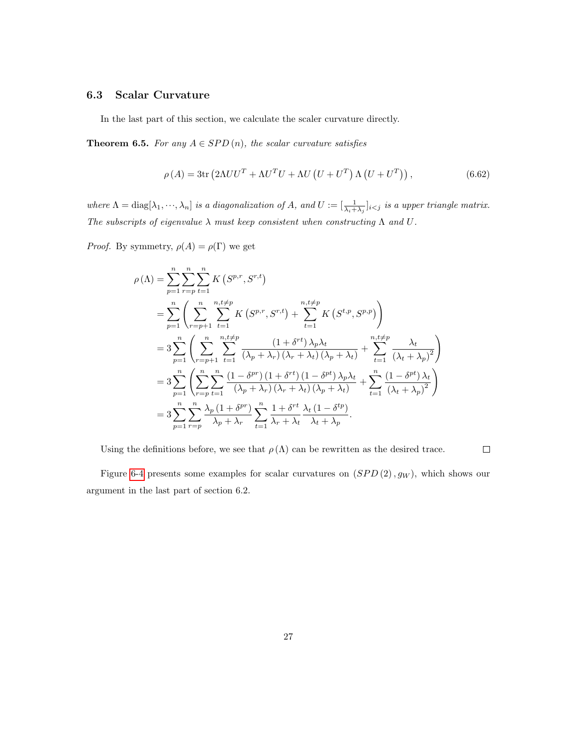### 6.3 Scalar Curvature

In the last part of this section, we calculate the scaler curvature directly.

**Theorem 6.5.** For any  $A \in SPD(n)$ , the scalar curvature satisfies

$$
\rho(A) = 3\text{tr}\left(2\Lambda UU^{T} + \Lambda U^{T}U + \Lambda U\left(U + U^{T}\right)\Lambda\left(U + U^{T}\right)\right),\tag{6.62}
$$

where  $\Lambda = \text{diag}[\lambda_1, \dots, \lambda_n]$  is a diagonalization of A, and  $U := [\frac{1}{\lambda_i + \lambda_j}]_{i \leq j}$  is a upper triangle matrix. The subscripts of eigenvalue  $\lambda$  must keep consistent when constructing  $\Lambda$  and  $U$ .

*Proof.* By symmetry,  $\rho(A) = \rho(\Gamma)$  we get

$$
\rho(\Lambda) = \sum_{p=1}^{n} \sum_{r=p}^{n} \sum_{t=1}^{n} K(S^{p,r}, S^{r,t})
$$
\n
$$
= \sum_{p=1}^{n} \left( \sum_{r=p+1}^{n} \sum_{t=1}^{n,t\neq p} K(S^{p,r}, S^{r,t}) + \sum_{t=1}^{n,t\neq p} K(S^{t,p}, S^{p,p}) \right)
$$
\n
$$
= 3 \sum_{p=1}^{n} \left( \sum_{r=p+1}^{n} \sum_{t=1}^{n,t\neq p} \frac{(1+\delta^{rt})\lambda_p\lambda_t}{(\lambda_p + \lambda_r)(\lambda_r + \lambda_t)(\lambda_p + \lambda_t)} + \sum_{t=1}^{n,t\neq p} \frac{\lambda_t}{(\lambda_t + \lambda_p)^2} \right)
$$
\n
$$
= 3 \sum_{p=1}^{n} \left( \sum_{r=p}^{n} \sum_{t=1}^{n} \frac{(1-\delta^{pr})(1+\delta^{rt})(1-\delta^{pt})\lambda_p\lambda_t}{(\lambda_p + \lambda_r)(\lambda_r + \lambda_t)(\lambda_p + \lambda_t)} + \sum_{t=1}^{n} \frac{(1-\delta^{pt})\lambda_t}{(\lambda_t + \lambda_p)^2} \right)
$$
\n
$$
= 3 \sum_{p=1}^{n} \sum_{r=p}^{n} \frac{\lambda_p(1+\delta^{pr})}{\lambda_p + \lambda_r} \sum_{t=1}^{n} \frac{1+\delta^{rt}}{\lambda_r + \lambda_t} \frac{\lambda_t(1-\delta^{tp})}{\lambda_t + \lambda_p}.
$$

Using the definitions before, we see that  $\rho(\Lambda)$  can be rewritten as the desired trace.

 $\Box$ 

Figure [6-4](#page-27-1) presents some examples for scalar curvatures on  $(SPD(2), g_W)$ , which shows our argument in the last part of section 6.2.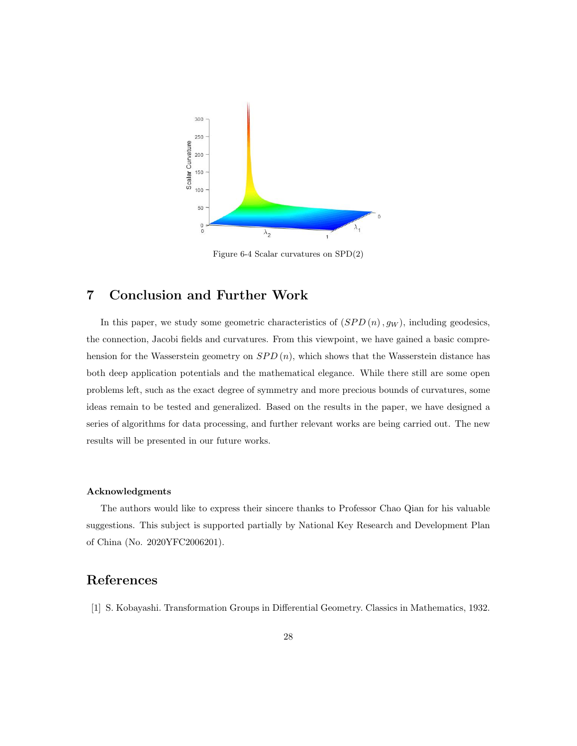<span id="page-27-1"></span>

Figure 6-4 Scalar curvatures on SPD(2)

# 7 Conclusion and Further Work

In this paper, we study some geometric characteristics of  $(SPD(n), g_W)$ , including geodesics, the connection, Jacobi fields and curvatures. From this viewpoint, we have gained a basic comprehension for the Wasserstein geometry on  $SPD(n)$ , which shows that the Wasserstein distance has both deep application potentials and the mathematical elegance. While there still are some open problems left, such as the exact degree of symmetry and more precious bounds of curvatures, some ideas remain to be tested and generalized. Based on the results in the paper, we have designed a series of algorithms for data processing, and further relevant works are being carried out. The new results will be presented in our future works.

#### Acknowledgments

The authors would like to express their sincere thanks to Professor Chao Qian for his valuable suggestions. This subject is supported partially by National Key Research and Development Plan of China (No. 2020YFC2006201).

## References

<span id="page-27-0"></span>[1] S. Kobayashi. Transformation Groups in Differential Geometry. Classics in Mathematics, 1932.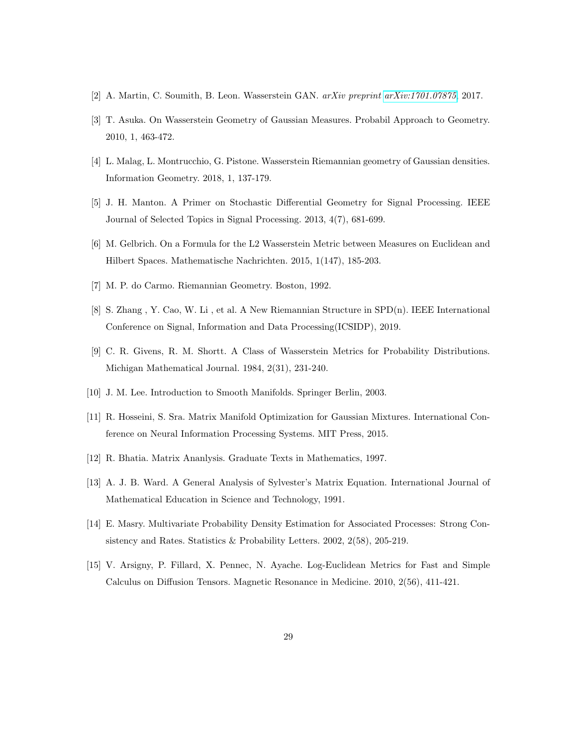- <span id="page-28-6"></span>[2] A. Martin, C. Soumith, B. Leon. Wasserstein GAN. arXiv preprint [arXiv:1701.07875](http://arxiv.org/abs/1701.07875), 2017.
- <span id="page-28-9"></span>[3] T. Asuka. On Wasserstein Geometry of Gaussian Measures. Probabil Approach to Geometry. 2010, 1, 463-472.
- <span id="page-28-10"></span>[4] L. Malag, L. Montrucchio, G. Pistone. Wasserstein Riemannian geometry of Gaussian densities. Information Geometry. 2018, 1, 137-179.
- <span id="page-28-2"></span>[5] J. H. Manton. A Primer on Stochastic Differential Geometry for Signal Processing. IEEE Journal of Selected Topics in Signal Processing. 2013, 4(7), 681-699.
- <span id="page-28-8"></span>[6] M. Gelbrich. On a Formula for the L2 Wasserstein Metric between Measures on Euclidean and Hilbert Spaces. Mathematische Nachrichten. 2015, 1(147), 185-203.
- <span id="page-28-12"></span>[7] M. P. do Carmo. Riemannian Geometry. Boston, 1992.
- <span id="page-28-5"></span>[8] S. Zhang , Y. Cao, W. Li , et al. A New Riemannian Structure in SPD(n). IEEE International Conference on Signal, Information and Data Processing(ICSIDP), 2019.
- <span id="page-28-7"></span>[9] C. R. Givens, R. M. Shortt. A Class of Wasserstein Metrics for Probability Distributions. Michigan Mathematical Journal. 1984, 2(31), 231-240.
- [10] J. M. Lee. Introduction to Smooth Manifolds. Springer Berlin, 2003.
- <span id="page-28-1"></span>[11] R. Hosseini, S. Sra. Matrix Manifold Optimization for Gaussian Mixtures. International Conference on Neural Information Processing Systems. MIT Press, 2015.
- <span id="page-28-0"></span>[12] R. Bhatia. Matrix Ananlysis. Graduate Texts in Mathematics, 1997.
- <span id="page-28-11"></span>[13] A. J. B. Ward. A General Analysis of Sylvester's Matrix Equation. International Journal of Mathematical Education in Science and Technology, 1991.
- <span id="page-28-3"></span>[14] E. Masry. Multivariate Probability Density Estimation for Associated Processes: Strong Consistency and Rates. Statistics & Probability Letters. 2002, 2(58), 205-219.
- <span id="page-28-4"></span>[15] V. Arsigny, P. Fillard, X. Pennec, N. Ayache. Log-Euclidean Metrics for Fast and Simple Calculus on Diffusion Tensors. Magnetic Resonance in Medicine. 2010, 2(56), 411-421.